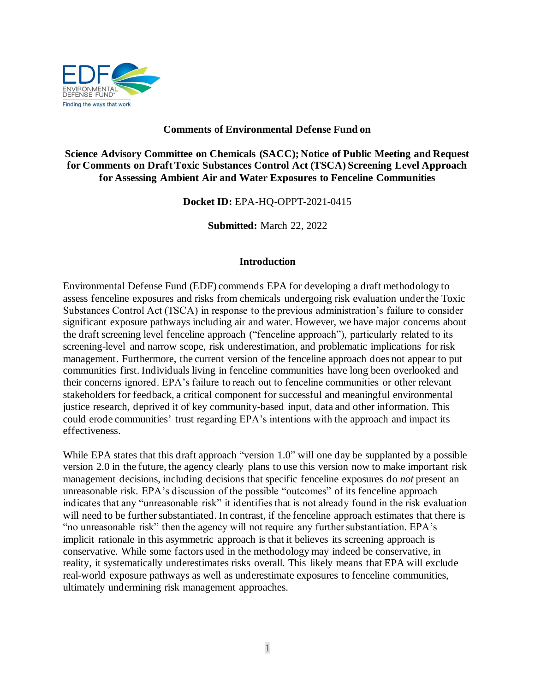

#### **Comments of Environmental Defense Fund on**

**Science Advisory Committee on Chemicals (SACC); Notice of Public Meeting and Request for Comments on Draft Toxic Substances Control Act (TSCA) Screening Level Approach for Assessing Ambient Air and Water Exposures to Fenceline Communities**

**Docket ID:** EPA-HQ-OPPT-2021-0415

**Submitted:** March 22, 2022

#### **Introduction**

Environmental Defense Fund (EDF) commends EPA for developing a draft methodology to assess fenceline exposures and risks from chemicals undergoing risk evaluation under the Toxic Substances Control Act (TSCA) in response to the previous administration's failure to consider significant exposure pathways including air and water. However, we have major concerns about the draft screening level fenceline approach ("fenceline approach"), particularly related to its screening-level and narrow scope, risk underestimation, and problematic implications for risk management. Furthermore, the current version of the fenceline approach does not appear to put communities first. Individuals living in fenceline communities have long been overlooked and their concerns ignored. EPA's failure to reach out to fenceline communities or other relevant stakeholders for feedback, a critical component for successful and meaningful environmental justice research, deprived it of key community-based input, data and other information. This could erode communities' trust regarding EPA's intentions with the approach and impact its effectiveness.

While EPA states that this draft approach "version 1.0" will one day be supplanted by a possible version 2.0 in the future, the agency clearly plans to use this version now to make important risk management decisions, including decisions that specific fenceline exposures do *not* present an unreasonable risk. EPA's discussion of the possible "outcomes" of its fenceline approach indicates that any "unreasonable risk" it identifies that is not already found in the risk evaluation will need to be further substantiated. In contrast, if the fenceline approach estimates that there is "no unreasonable risk" then the agency will not require any further substantiation. EPA's implicit rationale in this asymmetric approach is that it believes its screening approach is conservative. While some factors used in the methodology may indeed be conservative, in reality, it systematically underestimates risks overall. This likely means that EPA will exclude real-world exposure pathways as well as underestimate exposures to fenceline communities, ultimately undermining risk management approaches.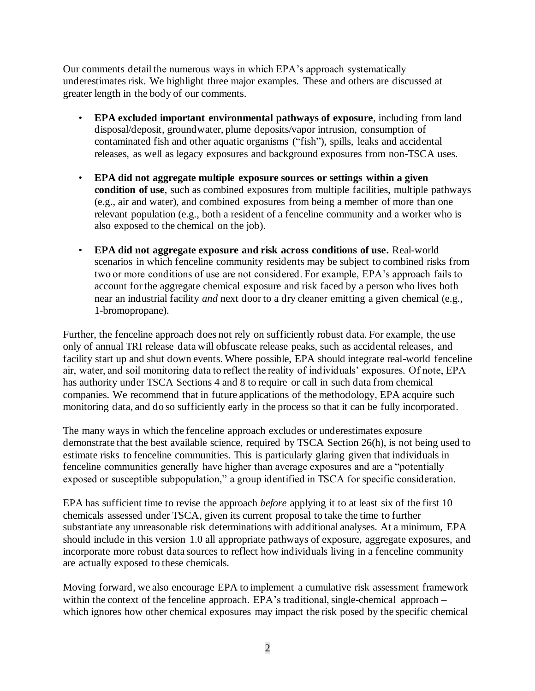Our comments detail the numerous ways in which EPA's approach systematically underestimates risk. We highlight three major examples. These and others are discussed at greater length in the body of our comments.

- **EPA excluded important environmental pathways of exposure**, including from land disposal/deposit, groundwater, plume deposits/vapor intrusion, consumption of contaminated fish and other aquatic organisms ("fish"), spills, leaks and accidental releases, as well as legacy exposures and background exposures from non-TSCA uses.
- **EPA did not aggregate multiple exposure sources or settings within a given condition of use**, such as combined exposures from multiple facilities, multiple pathways (e.g., air and water), and combined exposures from being a member of more than one relevant population (e.g., both a resident of a fenceline community and a worker who is also exposed to the chemical on the job).
- **EPA did not aggregate exposure and risk across conditions of use.** Real-world scenarios in which fenceline community residents may be subject to combined risks from two or more conditions of use are not considered. For example, EPA's approach fails to account for the aggregate chemical exposure and risk faced by a person who lives both near an industrial facility *and* next door to a dry cleaner emitting a given chemical (e.g., 1-bromopropane).

Further, the fenceline approach does not rely on sufficiently robust data. For example, the use only of annual TRI release data will obfuscate release peaks, such as accidental releases, and facility start up and shut down events. Where possible, EPA should integrate real-world fenceline air, water, and soil monitoring data to reflect the reality of individuals' exposures. Of note, EPA has authority under TSCA Sections 4 and 8 to require or call in such data from chemical companies. We recommend that in future applications of the methodology, EPA acquire such monitoring data, and do so sufficiently early in the process so that it can be fully incorporated.

The many ways in which the fenceline approach excludes or underestimates exposure demonstrate that the best available science, required by TSCA Section 26(h), is not being used to estimate risks to fenceline communities. This is particularly glaring given that individuals in fenceline communities generally have higher than average exposures and are a "potentially exposed or susceptible subpopulation," a group identified in TSCA for specific consideration.

EPA has sufficient time to revise the approach *before* applying it to at least six of the first 10 chemicals assessed under TSCA, given its current proposal to take the time to further substantiate any unreasonable risk determinations with additional analyses. At a minimum, EPA should include in this version 1.0 all appropriate pathways of exposure, aggregate exposures, and incorporate more robust data sources to reflect how individuals living in a fenceline community are actually exposed to these chemicals.

Moving forward, we also encourage EPA to implement a cumulative risk assessment framework within the context of the fenceline approach. EPA's traditional, single-chemical approach – which ignores how other chemical exposures may impact the risk posed by the specific chemical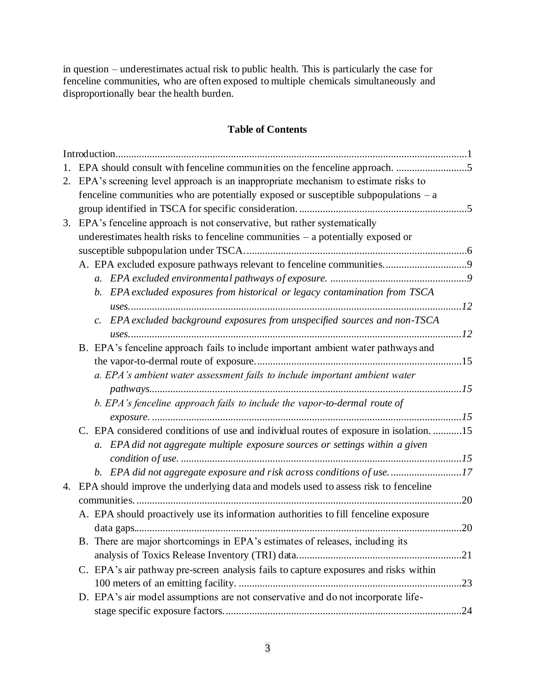in question – underestimates actual risk to public health. This is particularly the case for fenceline communities, who are often exposed to multiple chemicals simultaneously and disproportionally bear the health burden.

## **Table of Contents**

|    | Introduction                                                                               |  |  |  |  |  |
|----|--------------------------------------------------------------------------------------------|--|--|--|--|--|
| 1. |                                                                                            |  |  |  |  |  |
| 2. | EPA's screening level approach is an inappropriate mechanism to estimate risks to          |  |  |  |  |  |
|    | fenceline communities who are potentially exposed or susceptible subpopulations $-$ a      |  |  |  |  |  |
|    |                                                                                            |  |  |  |  |  |
| 3. | EPA's fenceline approach is not conservative, but rather systematically                    |  |  |  |  |  |
|    | underestimates health risks to fenceline communities $-$ a potentially exposed or          |  |  |  |  |  |
|    |                                                                                            |  |  |  |  |  |
|    | A. EPA excluded exposure pathways relevant to fenceline communities9                       |  |  |  |  |  |
|    | $a_{\cdot}$                                                                                |  |  |  |  |  |
|    | b. EPA excluded exposures from historical or legacy contamination from TSCA                |  |  |  |  |  |
|    |                                                                                            |  |  |  |  |  |
|    | EPA excluded background exposures from unspecified sources and non-TSCA<br>$\mathcal{C}$ . |  |  |  |  |  |
|    |                                                                                            |  |  |  |  |  |
|    | B. EPA's fenceline approach fails to include important ambient water pathways and          |  |  |  |  |  |
|    |                                                                                            |  |  |  |  |  |
|    | a. EPA's ambient water assessment fails to include important ambient water                 |  |  |  |  |  |
|    |                                                                                            |  |  |  |  |  |
|    | b. EPA's fenceline approach fails to include the vapor-to-dermal route of                  |  |  |  |  |  |
|    |                                                                                            |  |  |  |  |  |
|    | C. EPA considered conditions of use and individual routes of exposure in isolation. 15     |  |  |  |  |  |
|    | EPA did not aggregate multiple exposure sources or settings within a given<br>а.           |  |  |  |  |  |
|    |                                                                                            |  |  |  |  |  |
|    | b. EPA did not aggregate exposure and risk across conditions of use17                      |  |  |  |  |  |
| 4. | EPA should improve the underlying data and models used to assess risk to fenceline         |  |  |  |  |  |
|    |                                                                                            |  |  |  |  |  |
|    |                                                                                            |  |  |  |  |  |
|    | A. EPA should proactively use its information authorities to fill fenceline exposure       |  |  |  |  |  |
|    | B. There are major shortcomings in EPA's estimates of releases, including its              |  |  |  |  |  |
|    |                                                                                            |  |  |  |  |  |
|    |                                                                                            |  |  |  |  |  |
|    | C. EPA's air pathway pre-screen analysis fails to capture exposures and risks within       |  |  |  |  |  |
|    |                                                                                            |  |  |  |  |  |
|    | D. EPA's air model assumptions are not conservative and do not incorporate life-           |  |  |  |  |  |
|    |                                                                                            |  |  |  |  |  |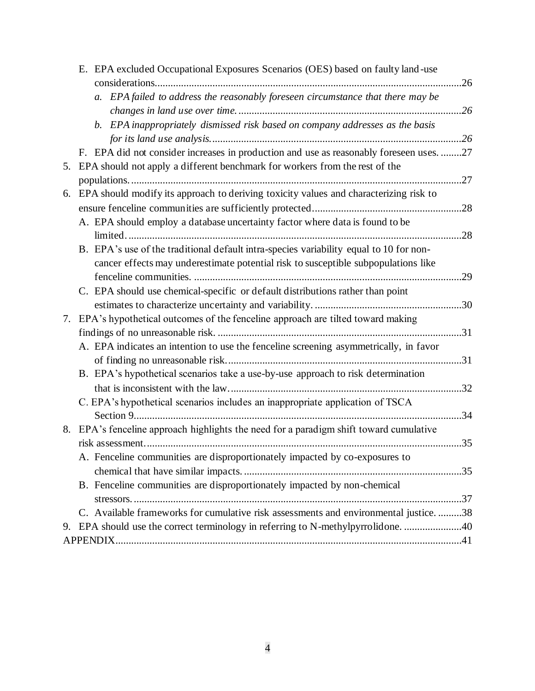|    | E. EPA excluded Occupational Exposures Scenarios (OES) based on faulty land-use         |     |
|----|-----------------------------------------------------------------------------------------|-----|
|    |                                                                                         | .26 |
|    | a. EPA failed to address the reasonably foreseen circumstance that there may be         |     |
|    |                                                                                         | .26 |
|    | b. EPA inappropriately dismissed risk based on company addresses as the basis           |     |
|    |                                                                                         |     |
|    | F. EPA did not consider increases in production and use as reasonably foreseen uses. 27 |     |
| 5. | EPA should not apply a different benchmark for workers from the rest of the             |     |
|    |                                                                                         | .27 |
| 6. | EPA should modify its approach to deriving toxicity values and characterizing risk to   |     |
|    |                                                                                         | .28 |
|    | A. EPA should employ a database uncertainty factor where data is found to be            |     |
|    |                                                                                         |     |
|    | B. EPA's use of the traditional default intra-species variability equal to 10 for non-  |     |
|    | cancer effects may underestimate potential risk to susceptible subpopulations like      |     |
|    |                                                                                         | .29 |
|    | C. EPA should use chemical-specific or default distributions rather than point          |     |
|    |                                                                                         |     |
| 7. | EPA's hypothetical outcomes of the fenceline approach are tilted toward making          |     |
|    |                                                                                         |     |
|    | A. EPA indicates an intention to use the fenceline screening asymmetrically, in favor   |     |
|    |                                                                                         |     |
|    | B. EPA's hypothetical scenarios take a use-by-use approach to risk determination        |     |
|    |                                                                                         |     |
|    | C. EPA's hypothetical scenarios includes an inappropriate application of TSCA           |     |
|    |                                                                                         | .34 |
|    | 8. EPA's fenceline approach highlights the need for a paradigm shift toward cumulative  |     |
|    |                                                                                         |     |
|    | A. Fenceline communities are disproportionately impacted by co-exposures to             |     |
|    |                                                                                         |     |
|    | B. Fenceline communities are disproportionately impacted by non-chemical                |     |
|    |                                                                                         |     |
|    | C. Available frameworks for cumulative risk assessments and environmental justice. 38   |     |
|    | 9. EPA should use the correct terminology in referring to N-methylpyrrolidone. 40       |     |
|    |                                                                                         |     |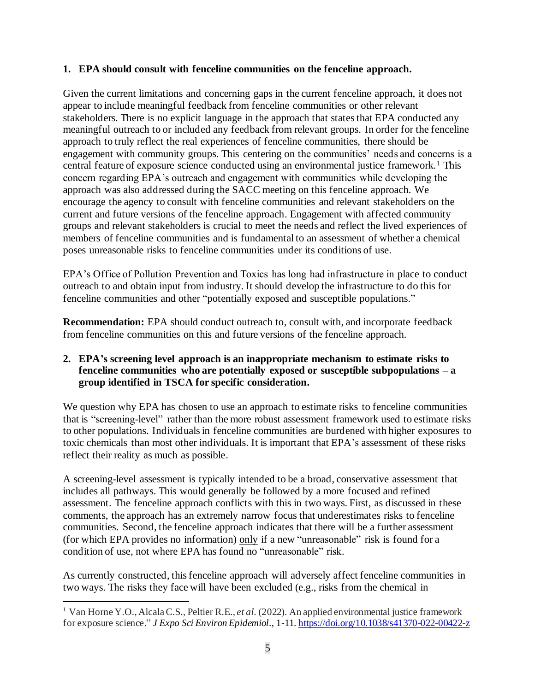### **1. EPA should consult with fenceline communities on the fenceline approach.**

Given the current limitations and concerning gaps in the current fenceline approach, it does not appear to include meaningful feedback from fenceline communities or other relevant stakeholders. There is no explicit language in the approach that states that EPA conducted any meaningful outreach to or included any feedback from relevant groups. In order for the fenceline approach to truly reflect the real experiences of fenceline communities, there should be engagement with community groups. This centering on the communities' needs and concerns is a central feature of exposure science conducted using an environmental justice framework.<sup>1</sup> This concern regarding EPA's outreach and engagement with communities while developing the approach was also addressed during the SACC meeting on this fenceline approach. We encourage the agency to consult with fenceline communities and relevant stakeholders on the current and future versions of the fenceline approach. Engagement with affected community groups and relevant stakeholders is crucial to meet the needs and reflect the lived experiences of members of fenceline communities and is fundamental to an assessment of whether a chemical poses unreasonable risks to fenceline communities under its conditions of use.

EPA's Office of Pollution Prevention and Toxics has long had infrastructure in place to conduct outreach to and obtain input from industry. It should develop the infrastructure to do this for fenceline communities and other "potentially exposed and susceptible populations."

**Recommendation:** EPA should conduct outreach to, consult with, and incorporate feedback from fenceline communities on this and future versions of the fenceline approach.

#### **2. EPA's screening level approach is an inappropriate mechanism to estimate risks to fenceline communities who are potentially exposed or susceptible subpopulations – a group identified in TSCA for specific consideration.**

We question why EPA has chosen to use an approach to estimate risks to fenceline communities that is "screening-level" rather than the more robust assessment framework used to estimate risks to other populations. Individuals in fenceline communities are burdened with higher exposures to toxic chemicals than most other individuals. It is important that EPA's assessment of these risks reflect their reality as much as possible.

A screening-level assessment is typically intended to be a broad, conservative assessment that includes all pathways. This would generally be followed by a more focused and refined assessment. The fenceline approach conflicts with this in two ways. First, as discussed in these comments, the approach has an extremely narrow focus that underestimates risks to fenceline communities. Second, the fenceline approach indicates that there will be a further assessment (for which EPA provides no information) only if a new "unreasonable" risk is found for a condition of use, not where EPA has found no "unreasonable" risk.

As currently constructed, this fenceline approach will adversely affect fenceline communities in two ways. The risks they face will have been excluded (e.g., risks from the chemical in

<sup>1</sup> Van Horne Y.O., Alcala C.S., Peltier R.E., *et al*. (2022). An applied environmental justice framework for exposure science." *J Expo Sci Environ Epidemiol*., 1-11. https://doi.org/10.1038/s41370-022-00422-z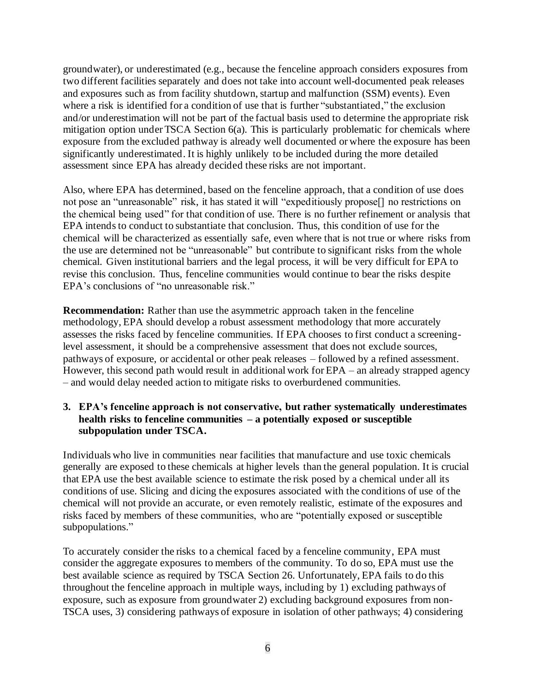groundwater), or underestimated (e.g., because the fenceline approach considers exposures from two different facilities separately and does not take into account well-documented peak releases and exposures such as from facility shutdown, startup and malfunction (SSM) events). Even where a risk is identified for a condition of use that is further "substantiated," the exclusion and/or underestimation will not be part of the factual basis used to determine the appropriate risk mitigation option under TSCA Section 6(a). This is particularly problematic for chemicals where exposure from the excluded pathway is already well documented or where the exposure has been significantly underestimated. It is highly unlikely to be included during the more detailed assessment since EPA has already decided these risks are not important.

Also, where EPA has determined, based on the fenceline approach, that a condition of use does not pose an "unreasonable" risk, it has stated it will "expeditiously propose[] no restrictions on the chemical being used" for that condition of use. There is no further refinement or analysis that EPA intends to conduct to substantiate that conclusion. Thus, this condition of use for the chemical will be characterized as essentially safe, even where that is not true or where risks from the use are determined not be "unreasonable" but contribute to significant risks from the whole chemical. Given institutional barriers and the legal process, it will be very difficult for EPA to revise this conclusion. Thus, fenceline communities would continue to bear the risks despite EPA's conclusions of "no unreasonable risk."

**Recommendation:** Rather than use the asymmetric approach taken in the fenceline methodology, EPA should develop a robust assessment methodology that more accurately assesses the risks faced by fenceline communities. If EPA chooses to first conduct a screeninglevel assessment, it should be a comprehensive assessment that does not exclude sources, pathways of exposure, or accidental or other peak releases – followed by a refined assessment. However, this second path would result in additional work for EPA – an already strapped agency – and would delay needed action to mitigate risks to overburdened communities.

## **3. EPA's fenceline approach is not conservative, but rather systematically underestimates health risks to fenceline communities – a potentially exposed or susceptible subpopulation under TSCA.**

Individuals who live in communities near facilities that manufacture and use toxic chemicals generally are exposed to these chemicals at higher levels than the general population. It is crucial that EPA use the best available science to estimate the risk posed by a chemical under all its conditions of use. Slicing and dicing the exposures associated with the conditions of use of the chemical will not provide an accurate, or even remotely realistic, estimate of the exposures and risks faced by members of these communities, who are "potentially exposed or susceptible subpopulations."

To accurately consider the risks to a chemical faced by a fenceline community, EPA must consider the aggregate exposures to members of the community. To do so, EPA must use the best available science as required by TSCA Section 26. Unfortunately, EPA fails to do this throughout the fenceline approach in multiple ways, including by 1) excluding pathways of exposure, such as exposure from groundwater 2) excluding background exposures from non-TSCA uses, 3) considering pathways of exposure in isolation of other pathways; 4) considering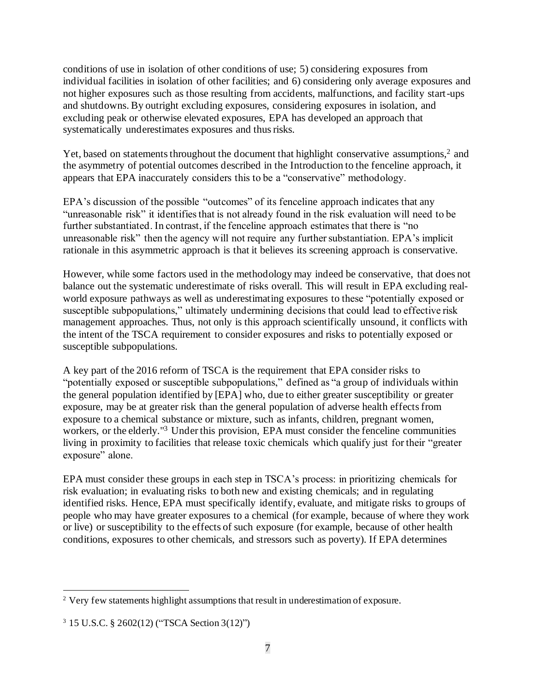conditions of use in isolation of other conditions of use; 5) considering exposures from individual facilities in isolation of other facilities; and 6) considering only average exposures and not higher exposures such as those resulting from accidents, malfunctions, and facility start-ups and shutdowns. By outright excluding exposures, considering exposures in isolation, and excluding peak or otherwise elevated exposures, EPA has developed an approach that systematically underestimates exposures and thus risks.

Yet, based on statements throughout the document that highlight conservative assumptions,<sup>2</sup> and the asymmetry of potential outcomes described in the Introduction to the fenceline approach, it appears that EPA inaccurately considers this to be a "conservative" methodology.

EPA's discussion of the possible "outcomes" of its fenceline approach indicates that any "unreasonable risk" it identifies that is not already found in the risk evaluation will need to be further substantiated. In contrast, if the fenceline approach estimates that there is "no unreasonable risk" then the agency will not require any further substantiation. EPA's implicit rationale in this asymmetric approach is that it believes its screening approach is conservative.

However, while some factors used in the methodology may indeed be conservative, that does not balance out the systematic underestimate of risks overall. This will result in EPA excluding realworld exposure pathways as well as underestimating exposures to these "potentially exposed or susceptible subpopulations," ultimately undermining decisions that could lead to effective risk management approaches. Thus, not only is this approach scientifically unsound, it conflicts with the intent of the TSCA requirement to consider exposures and risks to potentially exposed or susceptible subpopulations.

A key part of the 2016 reform of TSCA is the requirement that EPA consider risks to "potentially exposed or susceptible subpopulations," defined as "a group of individuals within the general population identified by [EPA] who, due to either greater susceptibility or greater exposure, may be at greater risk than the general population of adverse health effects from exposure to a chemical substance or mixture, such as infants, children, pregnant women, workers, or the elderly."<sup>3</sup> Under this provision, EPA must consider the fenceline communities living in proximity to facilities that release toxic chemicals which qualify just for their "greater exposure" alone.

EPA must consider these groups in each step in TSCA's process: in prioritizing chemicals for risk evaluation; in evaluating risks to both new and existing chemicals; and in regulating identified risks. Hence, EPA must specifically identify, evaluate, and mitigate risks to groups of people who may have greater exposures to a chemical (for example, because of where they work or live) or susceptibility to the effects of such exposure (for example, because of other health conditions, exposures to other chemicals, and stressors such as poverty). If EPA determines

<sup>&</sup>lt;sup>2</sup> Very few statements highlight assumptions that result in underestimation of exposure.

<sup>3</sup> 15 U.S.C. § 2602(12) ("TSCA Section 3(12)")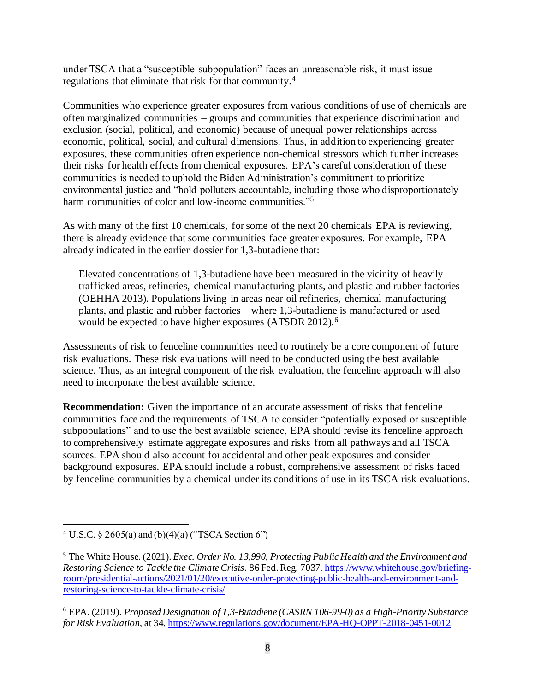under TSCA that a "susceptible subpopulation" faces an unreasonable risk, it must issue regulations that eliminate that risk for that community.<sup>4</sup>

Communities who experience greater exposures from various conditions of use of chemicals are often marginalized communities – groups and communities that experience discrimination and exclusion (social, political, and economic) because of unequal power relationships across economic, political, social, and cultural dimensions. Thus, in addition to experiencing greater exposures, these communities often experience non-chemical stressors which further increases their risks for health effects from chemical exposures. EPA's careful consideration of these communities is needed to uphold the Biden Administration's commitment to prioritize environmental justice and "hold polluters accountable, including those who disproportionately harm communities of color and low-income communities."<sup>5</sup>

As with many of the first 10 chemicals, forsome of the next 20 chemicals EPA is reviewing, there is already evidence that some communities face greater exposures. For example, EPA already indicated in the earlier dossier for 1,3-butadiene that:

Elevated concentrations of 1,3-butadiene have been measured in the vicinity of heavily trafficked areas, refineries, chemical manufacturing plants, and plastic and rubber factories (OEHHA 2013). Populations living in areas near oil refineries, chemical manufacturing plants, and plastic and rubber factories—where 1,3-butadiene is manufactured or used would be expected to have higher exposures (ATSDR 2012).<sup>6</sup>

Assessments of risk to fenceline communities need to routinely be a core component of future risk evaluations. These risk evaluations will need to be conducted using the best available science. Thus, as an integral component of the risk evaluation, the fenceline approach will also need to incorporate the best available science.

**Recommendation:** Given the importance of an accurate assessment of risks that fenceline communities face and the requirements of TSCA to consider "potentially exposed or susceptible subpopulations" and to use the best available science, EPA should revise its fenceline approach to comprehensively estimate aggregate exposures and risks from all pathways and all TSCA sources. EPA should also account for accidental and other peak exposures and consider background exposures. EPA should include a robust, comprehensive assessment of risks faced by fenceline communities by a chemical under its conditions of use in its TSCA risk evaluations.

 $4 \text{ U.S.C. } \frac{6}{5} \cdot 2605$ (a) and (b)(4)(a) ("TSCA Section 6")

<sup>5</sup> The White House. (2021). *Exec. Order No. 13,990, Protecting Public Health and the Environment and Restoring Science to Tackle the Climate Crisis.* 86 Fed. Reg. 7037. https://www.whitehouse.gov/briefingroom/presidential-actions/2021/01/20/executive-order-protecting-public-health-and-environment-andrestoring-science-to-tackle-climate-crisis/

<sup>6</sup> EPA. (2019). *Proposed Designation of 1,3-Butadiene (CASRN 106-99-0) as a High-Priority Substance for Risk Evaluation,* at 34. https://www.regulations.gov/document/EPA-HQ-OPPT-2018-0451-0012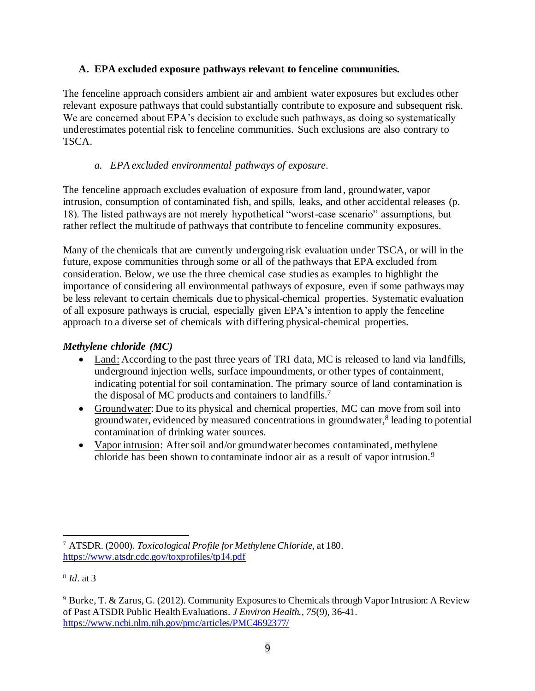## **A. EPA excluded exposure pathways relevant to fenceline communities.**

The fenceline approach considers ambient air and ambient water exposures but excludes other relevant exposure pathways that could substantially contribute to exposure and subsequent risk. We are concerned about EPA's decision to exclude such pathways, as doing so systematically underestimates potential risk to fenceline communities. Such exclusions are also contrary to TSCA.

## *a. EPA excluded environmental pathways of exposure.*

The fenceline approach excludes evaluation of exposure from land, groundwater, vapor intrusion, consumption of contaminated fish, and spills, leaks, and other accidental releases (p. 18). The listed pathways are not merely hypothetical "worst-case scenario" assumptions, but rather reflect the multitude of pathways that contribute to fenceline community exposures.

Many of the chemicals that are currently undergoing risk evaluation under TSCA, or will in the future, expose communities through some or all of the pathways that EPA excluded from consideration. Below, we use the three chemical case studies as examples to highlight the importance of considering all environmental pathways of exposure, even if some pathways may be less relevant to certain chemicals due to physical-chemical properties. Systematic evaluation of all exposure pathways is crucial, especially given EPA's intention to apply the fenceline approach to a diverse set of chemicals with differing physical-chemical properties.

## *Methylene chloride (MC)*

- Land: According to the past three years of TRI data, MC is released to land via landfills, underground injection wells, surface impoundments, or other types of containment, indicating potential for soil contamination. The primary source of land contamination is the disposal of MC products and containers to landfills.<sup>7</sup>
- Groundwater: Due to its physical and chemical properties, MC can move from soil into groundwater, evidenced by measured concentrations in groundwater, 8 leading to potential contamination of drinking water sources.
- Vapor intrusion: After soil and/or groundwater becomes contaminated, methylene chloride has been shown to contaminate indoor air as a result of vapor intrusion.<sup>9</sup>

<sup>7</sup> ATSDR. (2000). *Toxicological Profile for Methylene Chloride*, at 180. https://www.atsdr.cdc.gov/toxprofiles/tp14.pdf

<sup>8</sup> *Id.* at 3

<sup>9</sup> Burke, T. & Zarus, G. (2012). Community Exposures to Chemicals through Vapor Intrusion: A Review of Past ATSDR Public Health Evaluations. *J Environ Health., 75*(9), 36-41. https://www.ncbi.nlm.nih.gov/pmc/articles/PMC4692377/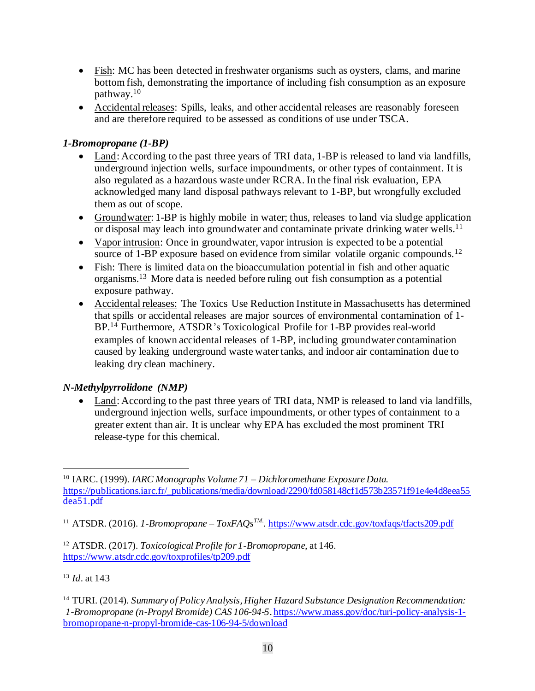- Fish: MC has been detected in freshwater organisms such as oysters, clams, and marine bottom fish, demonstrating the importance of including fish consumption as an exposure pathway.<sup>10</sup>
- Accidental releases: Spills, leaks, and other accidental releases are reasonably foreseen and are therefore required to be assessed as conditions of use under TSCA.

## *1-Bromopropane (1-BP)*

- Land: According to the past three years of TRI data, 1-BP is released to land via landfills, underground injection wells, surface impoundments, or other types of containment. It is also regulated as a hazardous waste under RCRA. In the final risk evaluation, EPA acknowledged many land disposal pathways relevant to 1-BP, but wrongfully excluded them as out of scope.
- Groundwater: 1-BP is highly mobile in water; thus, releases to land via sludge application or disposal may leach into groundwater and contaminate private drinking water wells.<sup>11</sup>
- Vapor intrusion: Once in groundwater, vapor intrusion is expected to be a potential source of 1-BP exposure based on evidence from similar volatile organic compounds.<sup>12</sup>
- Fish: There is limited data on the bioaccumulation potential in fish and other aquatic organisms. <sup>13</sup> More data is needed before ruling out fish consumption as a potential exposure pathway.
- Accidental releases: The Toxics Use Reduction Institute in Massachusetts has determined that spills or accidental releases are major sources of environmental contamination of 1- BP. <sup>14</sup> Furthermore, ATSDR's Toxicological Profile for 1-BP provides real-world examples of known accidental releases of 1-BP, including groundwater contamination caused by leaking underground waste water tanks, and indoor air contamination due to leaking dry clean machinery.

### *N-Methylpyrrolidone (NMP)*

• Land: According to the past three years of TRI data, NMP is released to land via landfills, underground injection wells, surface impoundments, or other types of containment to a greater extent than air. It is unclear why EPA has excluded the most prominent TRI release-type for this chemical.

<sup>13</sup> *Id*. at 143

<sup>10</sup> IARC. (1999). *IARC Monographs Volume 71 – Dichloromethane Exposure Data.* https://publications.iarc.fr/\_publications/media/download/2290/fd058148cf1d573b23571f91e4e4d8eea55 dea51.pdf

<sup>11</sup> ATSDR. (2016). *1-Bromopropane – ToxFAQsTM. .* https://www.atsdr.cdc.gov/toxfaqs/tfacts209.pdf

<sup>12</sup> ATSDR. (2017). *Toxicological Profile for 1-Bromopropane*, at 146*.* https://www.atsdr.cdc.gov/toxprofiles/tp209.pdf

<sup>14</sup> TURI. (2014). *Summary of Policy Analysis, Higher Hazard Substance Designation Recommendation: 1-Bromopropane (n-Propyl Bromide) CAS 106-94-5*. https://www.mass.gov/doc/turi-policy-analysis-1 bromopropane-n-propyl-bromide-cas-106-94-5/download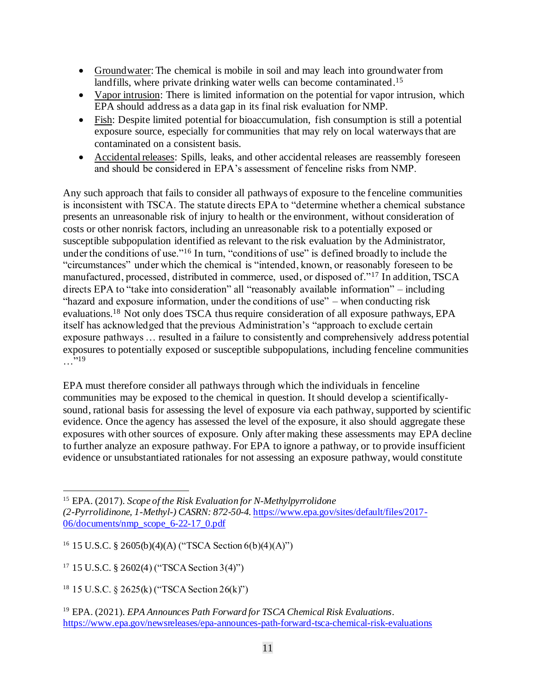- Groundwater: The chemical is mobile in soil and may leach into groundwater from landfills, where private drinking water wells can become contaminated.<sup>15</sup>
- Vapor intrusion: There is limited information on the potential for vapor intrusion, which EPA should address as a data gap in its final risk evaluation for NMP.
- Fish: Despite limited potential for bioaccumulation, fish consumption is still a potential exposure source, especially for communities that may rely on local waterways that are contaminated on a consistent basis.
- Accidental releases: Spills, leaks, and other accidental releases are reassembly foreseen and should be considered in EPA's assessment of fenceline risks from NMP.

Any such approach that fails to consider all pathways of exposure to the fenceline communities is inconsistent with TSCA. The statute directs EPA to "determine whether a chemical substance presents an unreasonable risk of injury to health or the environment, without consideration of costs or other nonrisk factors, including an unreasonable risk to a potentially exposed or susceptible subpopulation identified as relevant to the risk evaluation by the Administrator, under the conditions of use."<sup>16</sup> In turn, "conditions of use" is defined broadly to include the "circumstances" under which the chemical is "intended, known, or reasonably foreseen to be manufactured, processed, distributed in commerce, used, or disposed of."<sup>17</sup> In addition, TSCA directs EPA to "take into consideration" all "reasonably available information" – including "hazard and exposure information, under the conditions of use" – when conducting risk evaluations.<sup>18</sup> Not only does TSCA thus require consideration of all exposure pathways, EPA itself has acknowledged that the previous Administration's "approach to exclude certain exposure pathways … resulted in a failure to consistently and comprehensively address potential exposures to potentially exposed or susceptible subpopulations, including fenceline communities  $\ldots$ <sup>19</sup>

EPA must therefore consider all pathways through which the individuals in fenceline communities may be exposed to the chemical in question. It should develop a scientificallysound, rational basis for assessing the level of exposure via each pathway, supported by scientific evidence. Once the agency has assessed the level of the exposure, it also should aggregate these exposures with other sources of exposure. Only after making these assessments may EPA decline to further analyze an exposure pathway. For EPA to ignore a pathway, or to provide insufficient evidence or unsubstantiated rationales for not assessing an exposure pathway, would constitute

<sup>16</sup> 15 U.S.C. § 2605(b)(4)(A) ("TSCA Section 6(b)(4)(A)")

<sup>17</sup> 15 U.S.C. § 2602(4) ("TSCA Section 3(4)")

<sup>18</sup> 15 U.S.C. § 2625(k) ("TSCA Section 26(k)")

<sup>19</sup> EPA. (2021). *EPA Announces Path Forward for TSCA Chemical Risk Evaluations.* https://www.epa.gov/newsreleases/epa-announces-path-forward-tsca-chemical-risk-evaluations

<sup>15</sup> EPA. (2017). *Scope of the Risk Evaluation for N-Methylpyrrolidone (2-Pyrrolidinone, 1-Methyl-) CASRN: 872-50-4*. https://www.epa.gov/sites/default/files/2017- 06/documents/nmp\_scope\_6-22-17\_0.pdf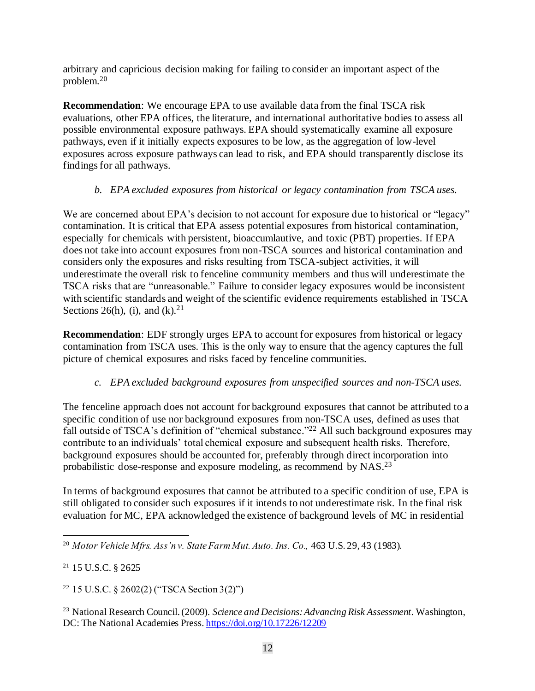arbitrary and capricious decision making for failing to consider an important aspect of the problem*.* 20

**Recommendation**: We encourage EPA to use available data from the final TSCA risk evaluations, other EPA offices, the literature, and international authoritative bodies to assess all possible environmental exposure pathways. EPA should systematically examine all exposure pathways, even if it initially expects exposures to be low, as the aggregation of low-level exposures across exposure pathways can lead to risk, and EPA should transparently disclose its findings for all pathways.

## *b. EPA excluded exposures from historical or legacy contamination from TSCA uses.*

We are concerned about EPA's decision to not account for exposure due to historical or "legacy" contamination. It is critical that EPA assess potential exposures from historical contamination, especially for chemicals with persistent, bioaccumlautive, and toxic (PBT) properties. If EPA does not take into account exposures from non-TSCA sources and historical contamination and considers only the exposures and risks resulting from TSCA-subject activities, it will underestimate the overall risk to fenceline community members and thus will underestimate the TSCA risks that are "unreasonable." Failure to consider legacy exposures would be inconsistent with scientific standards and weight of the scientific evidence requirements established in TSCA Sections 26(h), (i), and  $(k)$ .<sup>21</sup>

**Recommendation**: EDF strongly urges EPA to account for exposures from historical or legacy contamination from TSCA uses. This is the only way to ensure that the agency captures the full picture of chemical exposures and risks faced by fenceline communities.

## *c. EPA excluded background exposures from unspecified sources and non-TSCA uses.*

The fenceline approach does not account for background exposures that cannot be attributed to a specific condition of use nor background exposures from non-TSCA uses, defined as uses that fall outside of TSCA's definition of "chemical substance."<sup>22</sup> All such background exposures may contribute to an individuals' total chemical exposure and subsequent health risks. Therefore, background exposures should be accounted for, preferably through direct incorporation into probabilistic dose-response and exposure modeling, as recommend by NAS.<sup>23</sup>

In terms of background exposures that cannot be attributed to a specific condition of use, EPA is still obligated to consider such exposures if it intends to not underestimate risk. In the final risk evaluation for MC, EPA acknowledged the existence of background levels of MC in residential

<sup>21</sup> 15 U.S.C. § 2625

<sup>22</sup> 15 U.S.C. § 2602(2) ("TSCA Section 3(2)")

<sup>23</sup> National Research Council. (2009). *Science and Decisions: Advancing Risk Assessment*. Washington, DC: The National Academies Press. https://doi.org/10.17226/12209

<sup>20</sup> *Motor Vehicle Mfrs. Ass'n v. State Farm Mut. Auto. Ins. Co.,* 463 U.S. 29, 43 (1983).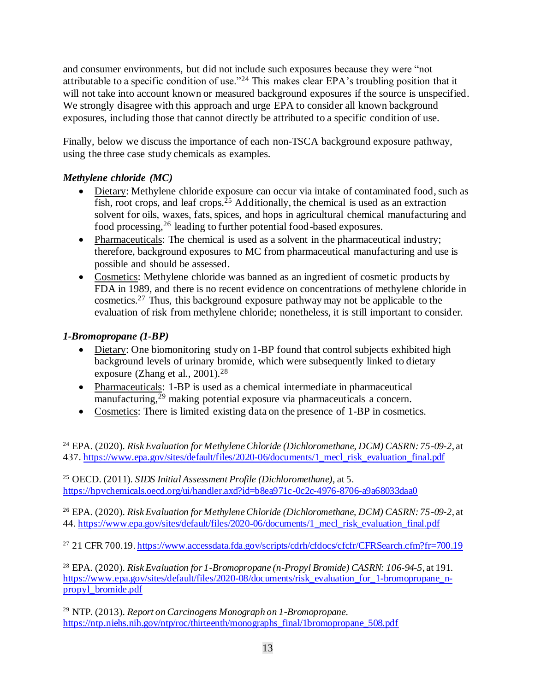and consumer environments, but did not include such exposures because they were "not attributable to a specific condition of use."<sup>24</sup> This makes clear EPA's troubling position that it will not take into account known or measured background exposures if the source is unspecified. We strongly disagree with this approach and urge EPA to consider all known background exposures, including those that cannot directly be attributed to a specific condition of use.

Finally, below we discuss the importance of each non-TSCA background exposure pathway, using the three case study chemicals as examples.

## *Methylene chloride (MC)*

- Dietary: Methylene chloride exposure can occur via intake of contaminated food, such as  $\overline{\text{fish}}$ , root crops, and leaf crops.<sup>25</sup> Additionally, the chemical is used as an extraction solvent for oils, waxes, fats, spices, and hops in agricultural chemical manufacturing and food processing,<sup>26</sup> leading to further potential food-based exposures.
- Pharmaceuticals: The chemical is used as a solvent in the pharmaceutical industry; therefore, background exposures to MC from pharmaceutical manufacturing and use is possible and should be assessed.
- Cosmetics: Methylene chloride was banned as an ingredient of cosmetic products by FDA in 1989, and there is no recent evidence on concentrations of methylene chloride in cosmetics.<sup>27</sup> Thus, this background exposure pathway may not be applicable to the evaluation of risk from methylene chloride; nonetheless, it is still important to consider.

### *1-Bromopropane (1-BP)*

- Dietary: One biomonitoring study on 1-BP found that control subjects exhibited high background levels of urinary bromide, which were subsequently linked to dietary exposure (Zhang et al., 2001).<sup>28</sup>
- Pharmaceuticals: 1-BP is used as a chemical intermediate in pharmaceutical manufacturing,<sup>29</sup> making potential exposure via pharmaceuticals a concern.
- Cosmetics: There is limited existing data on the presence of 1-BP in cosmetics.

<sup>25</sup> OECD. (2011). *SIDS Initial Assessment Profile (Dichloromethane)*, at 5. https://hpvchemicals.oecd.org/ui/handler.axd?id=b8ea971c-0c2c-4976-8706-a9a68033daa0

<sup>26</sup> EPA. (2020). *Risk Evaluation for Methylene Chloride (Dichloromethane, DCM) CASRN: 75-09-2*, at 44. https://www.epa.gov/sites/default/files/2020-06/documents/1\_mecl\_risk\_evaluation\_final.pdf

<sup>27</sup> 21 CFR 700.19. https://www.accessdata.fda.gov/scripts/cdrh/cfdocs/cfcfr/CFRSearch.cfm?fr=700.19

<sup>28</sup> EPA. (2020). *Risk Evaluation for 1-Bromopropane (n-Propyl Bromide) CASRN: 106-94-5*, at 191. https://www.epa.gov/sites/default/files/2020-08/documents/risk\_evaluation\_for\_1-bromopropane\_npropyl\_bromide.pdf

<sup>29</sup> NTP. (2013). *Report on Carcinogens Monograph on 1-Bromopropane*. https://ntp.niehs.nih.gov/ntp/roc/thirteenth/monographs\_final/1bromopropane\_508.pdf

<sup>24</sup> EPA. (2020). *Risk Evaluation for Methylene Chloride (Dichloromethane, DCM) CASRN: 75-09-2*, at 437. https://www.epa.gov/sites/default/files/2020-06/documents/1\_mecl\_risk\_evaluation\_final.pdf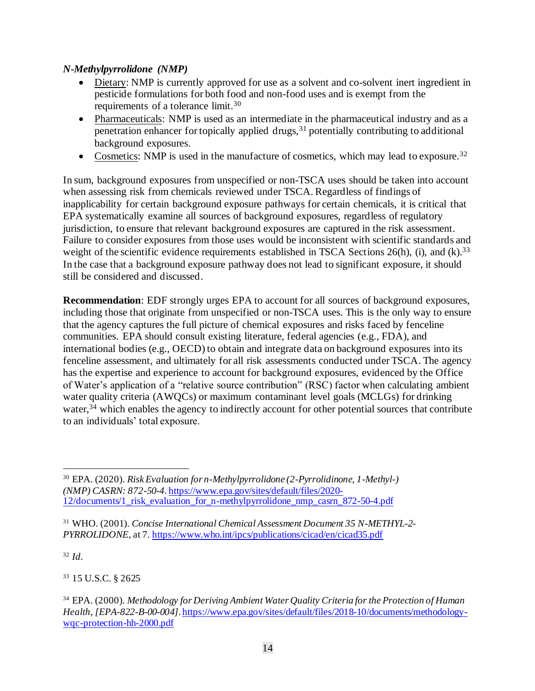## *N-Methylpyrrolidone (NMP)*

- Dietary: NMP is currently approved for use as a solvent and co-solvent inert ingredient in pesticide formulations for both food and non-food uses and is exempt from the requirements of a tolerance limit.<sup>30</sup>
- Pharmaceuticals: NMP is used as an intermediate in the pharmaceutical industry and as a penetration enhancer for topically applied drugs,  $31$  potentially contributing to additional background exposures.
- Cosmetics: NMP is used in the manufacture of cosmetics, which may lead to exposure.<sup>32</sup>

In sum, background exposures from unspecified or non-TSCA uses should be taken into account when assessing risk from chemicals reviewed under TSCA. Regardless of findings of inapplicability for certain background exposure pathways for certain chemicals, it is critical that EPA systematically examine all sources of background exposures, regardless of regulatory jurisdiction, to ensure that relevant background exposures are captured in the risk assessment. Failure to consider exposures from those uses would be inconsistent with scientific standards and weight of the scientific evidence requirements established in TSCA Sections  $26(h)$ , (i), and (k).<sup>33</sup> In the case that a background exposure pathway does not lead to significant exposure, it should still be considered and discussed.

**Recommendation**: EDF strongly urges EPA to account for all sources of background exposures, including those that originate from unspecified or non-TSCA uses. This is the only way to ensure that the agency captures the full picture of chemical exposures and risks faced by fenceline communities. EPA should consult existing literature, federal agencies (e.g., FDA), and international bodies (e.g., OECD) to obtain and integrate data on background exposures into its fenceline assessment, and ultimately for all risk assessments conducted under TSCA. The agency has the expertise and experience to account for background exposures, evidenced by the Office of Water's application of a "relative source contribution" (RSC) factor when calculating ambient water quality criteria (AWQCs) or maximum contaminant level goals (MCLGs) for drinking water,<sup>34</sup> which enables the agency to indirectly account for other potential sources that contribute to an individuals' total exposure.

<sup>32</sup> *Id*.

<sup>33</sup> 15 U.S.C. § 2625

<sup>30</sup> EPA. (2020). *Risk Evaluation for n-Methylpyrrolidone (2-Pyrrolidinone, 1-Methyl-) (NMP) CASRN: 872-50-4.* https://www.epa.gov/sites/default/files/2020- 12/documents/1\_risk\_evaluation\_for\_n-methylpyrrolidone\_nmp\_casrn\_872-50-4.pdf

<sup>31</sup> WHO. (2001). *Concise International Chemical Assessment Document 35 N-METHYL-2- PYRROLIDONE*, at 7. https://www.who.int/ipcs/publications/cicad/en/cicad35.pdf

<sup>34</sup> EPA. (2000). *Methodology for Deriving Ambient Water Quality Criteria for the Protection of Human Health, [EPA-822-B-00-004]*. https://www.epa.gov/sites/default/files/2018-10/documents/methodologywqc-protection-hh-2000.pdf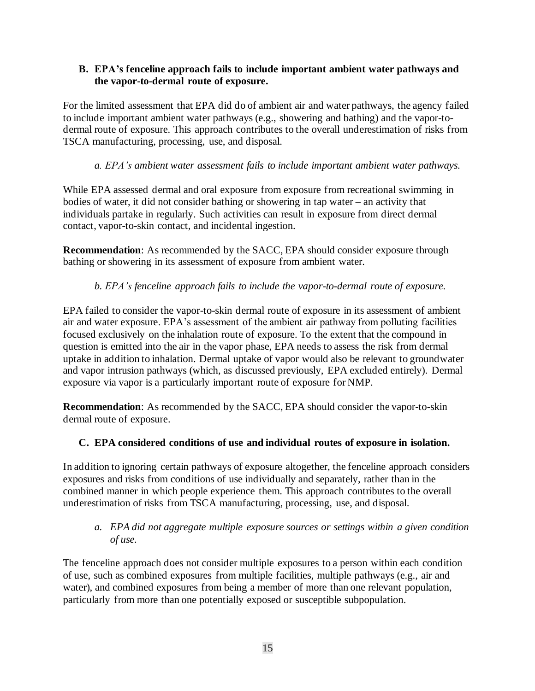#### **B. EPA's fenceline approach fails to include important ambient water pathways and the vapor-to-dermal route of exposure.**

For the limited assessment that EPA did do of ambient air and water pathways, the agency failed to include important ambient water pathways (e.g., showering and bathing) and the vapor-todermal route of exposure. This approach contributes to the overall underestimation of risks from TSCA manufacturing, processing, use, and disposal.

## *a. EPA's ambient water assessment fails to include important ambient water pathways.*

While EPA assessed dermal and oral exposure from exposure from recreational swimming in bodies of water, it did not consider bathing or showering in tap water – an activity that individuals partake in regularly. Such activities can result in exposure from direct dermal contact, vapor-to-skin contact, and incidental ingestion.

**Recommendation**: As recommended by the SACC, EPA should consider exposure through bathing or showering in its assessment of exposure from ambient water.

## *b. EPA's fenceline approach fails to include the vapor-to-dermal route of exposure.*

EPA failed to consider the vapor-to-skin dermal route of exposure in its assessment of ambient air and water exposure. EPA's assessment of the ambient air pathway from polluting facilities focused exclusively on the inhalation route of exposure. To the extent that the compound in question is emitted into the air in the vapor phase, EPA needs to assess the risk from dermal uptake in addition to inhalation. Dermal uptake of vapor would also be relevant to groundwater and vapor intrusion pathways (which, as discussed previously, EPA excluded entirely). Dermal exposure via vapor is a particularly important route of exposure for NMP.

**Recommendation**: As recommended by the SACC, EPA should consider the vapor-to-skin dermal route of exposure.

### **C. EPA considered conditions of use and individual routes of exposure in isolation.**

In addition to ignoring certain pathways of exposure altogether, the fenceline approach considers exposures and risks from conditions of use individually and separately, rather than in the combined manner in which people experience them. This approach contributes to the overall underestimation of risks from TSCA manufacturing, processing, use, and disposal.

### *a. EPA did not aggregate multiple exposure sources or settings within a given condition of use.*

The fenceline approach does not consider multiple exposures to a person within each condition of use, such as combined exposures from multiple facilities, multiple pathways (e.g., air and water), and combined exposures from being a member of more than one relevant population, particularly from more than one potentially exposed or susceptible subpopulation.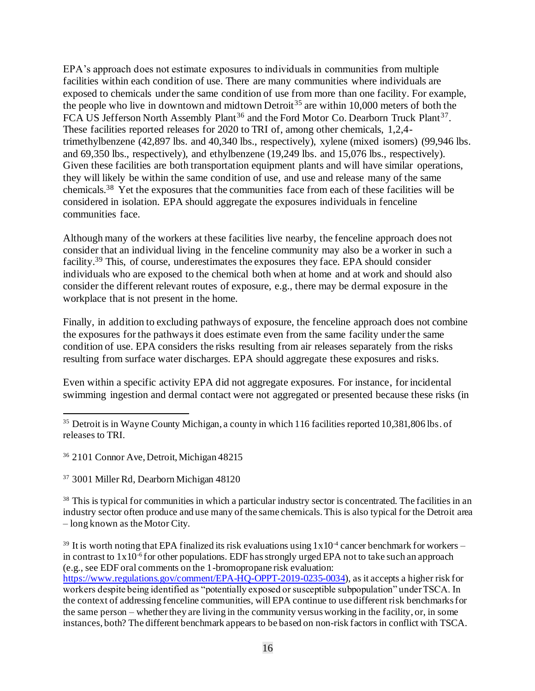EPA's approach does not estimate exposures to individuals in communities from multiple facilities within each condition of use. There are many communities where individuals are exposed to chemicals under the same condition of use from more than one facility. For example, the people who live in downtown and midtown Detroit<sup>35</sup> are within 10,000 meters of both the FCA US Jefferson North Assembly Plant<sup>36</sup> and the Ford Motor Co. Dearborn Truck Plant<sup>37</sup>. These facilities reported releases for 2020 to TRI of, among other chemicals, 1,2,4 trimethylbenzene (42,897 lbs. and 40,340 lbs., respectively), xylene (mixed isomers) (99,946 lbs. and 69,350 lbs., respectively), and ethylbenzene (19,249 lbs. and 15,076 lbs., respectively). Given these facilities are both transportation equipment plants and will have similar operations, they will likely be within the same condition of use, and use and release many of the same chemicals. <sup>38</sup> Yet the exposures that the communities face from each of these facilities will be considered in isolation. EPA should aggregate the exposures individuals in fenceline communities face.

Although many of the workers at these facilities live nearby, the fenceline approach does not consider that an individual living in the fenceline community may also be a worker in such a facility.<sup>39</sup> This, of course, underestimates the exposures they face. EPA should consider individuals who are exposed to the chemical both when at home and at work and should also consider the different relevant routes of exposure, e.g., there may be dermal exposure in the workplace that is not present in the home.

Finally, in addition to excluding pathways of exposure, the fenceline approach does not combine the exposures for the pathways it does estimate even from the same facility under the same condition of use. EPA considers the risks resulting from air releases separately from the risks resulting from surface water discharges. EPA should aggregate these exposures and risks.

Even within a specific activity EPA did not aggregate exposures. For instance, for incidental swimming ingestion and dermal contact were not aggregated or presented because these risks (in

<sup>36</sup> 2101 Connor Ave, Detroit, Michigan 48215

<sup>37</sup> 3001 Miller Rd, Dearborn Michigan 48120

<sup>38</sup> This is typical for communities in which a particular industry sector is concentrated. The facilities in an industry sector often produce and use many of the same chemicals. This is also typical for the Detroit area – long known as the Motor City.

<sup>39</sup> It is worth noting that EPA finalized its risk evaluations using  $1x10^{-4}$  cancer benchmark for workers – in contrast to 1x10-6 for other populations. EDF has strongly urged EPA not to take such an approach (e.g., see EDF oral comments on the 1-bromopropane risk evaluation: https://www.regulations.gov/comment/EPA-HQ-OPPT-2019-0235-0034), as it accepts a higher risk for workers despite being identified as "potentially exposed or susceptible subpopulation" under TSCA. In the context of addressing fenceline communities, will EPA continue to use different risk benchmarks for the same person – whether they are living in the community versus working in the facility, or, in some instances, both? The different benchmark appears to be based on non-risk factors in conflict with TSCA.

<sup>&</sup>lt;sup>35</sup> Detroit is in Wayne County Michigan, a county in which 116 facilities reported 10,381,806 lbs. of releases to TRI.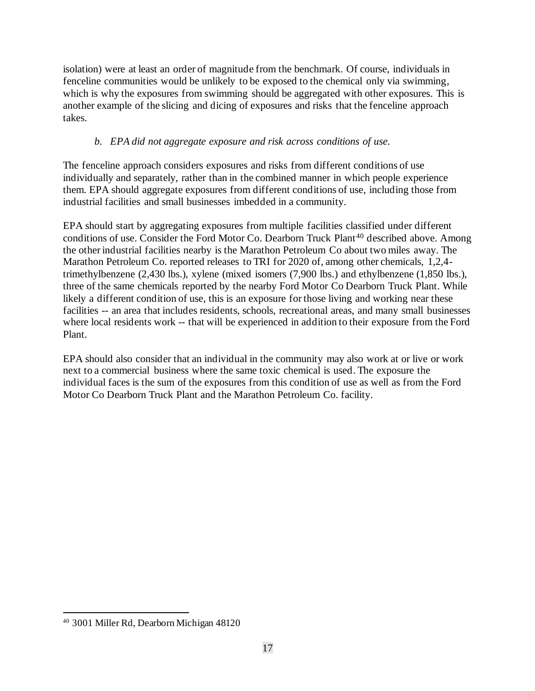isolation) were at least an order of magnitude from the benchmark. Of course, individuals in fenceline communities would be unlikely to be exposed to the chemical only via swimming, which is why the exposures from swimming should be aggregated with other exposures. This is another example of the slicing and dicing of exposures and risks that the fenceline approach takes.

## *b. EPA did not aggregate exposure and risk across conditions of use.*

The fenceline approach considers exposures and risks from different conditions of use individually and separately, rather than in the combined manner in which people experience them. EPA should aggregate exposures from different conditions of use, including those from industrial facilities and small businesses imbedded in a community.

EPA should start by aggregating exposures from multiple facilities classified under different conditions of use. Consider the Ford Motor Co. Dearborn Truck Plant<sup>40</sup> described above. Among the other industrial facilities nearby is the Marathon Petroleum Co about two miles away. The Marathon Petroleum Co. reported releases to TRI for 2020 of, among other chemicals, 1,2,4 trimethylbenzene (2,430 lbs.), xylene (mixed isomers (7,900 lbs.) and ethylbenzene (1,850 lbs.), three of the same chemicals reported by the nearby Ford Motor Co Dearborn Truck Plant. While likely a different condition of use, this is an exposure for those living and working near these facilities -- an area that includes residents, schools, recreational areas, and many small businesses where local residents work -- that will be experienced in addition to their exposure from the Ford Plant.

EPA should also consider that an individual in the community may also work at or live or work next to a commercial business where the same toxic chemical is used. The exposure the individual faces is the sum of the exposures from this condition of use as well as from the Ford Motor Co Dearborn Truck Plant and the Marathon Petroleum Co. facility.

<sup>40</sup> 3001 Miller Rd, Dearborn Michigan 48120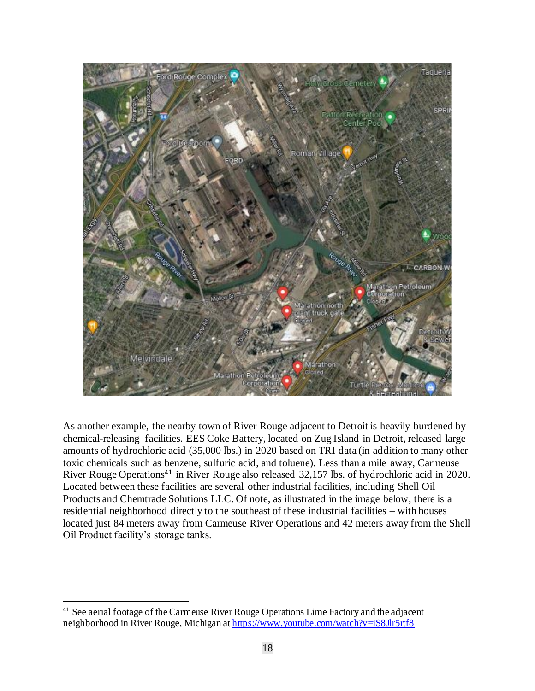

As another example, the nearby town of River Rouge adjacent to Detroit is heavily burdened by chemical-releasing facilities. EES Coke Battery, located on Zug Island in Detroit, released large amounts of hydrochloric acid (35,000 lbs.) in 2020 based on TRI data (in addition to many other toxic chemicals such as benzene, sulfuric acid, and toluene). Less than a mile away, Carmeuse River Rouge Operations<sup>41</sup> in River Rouge also released 32,157 lbs. of hydrochloric acid in 2020. Located between these facilities are several other industrial facilities, including Shell Oil Products and Chemtrade Solutions LLC. Of note, as illustrated in the image below, there is a residential neighborhood directly to the southeast of these industrial facilities – with houses located just 84 meters away from Carmeuse River Operations and 42 meters away from the Shell Oil Product facility's storage tanks.

<sup>&</sup>lt;sup>41</sup> See aerial footage of the Carmeuse River Rouge Operations Lime Factory and the adjacent neighborhood in River Rouge, Michigan at https://www.youtube.com/watch?v=iS8Jlr5rtf8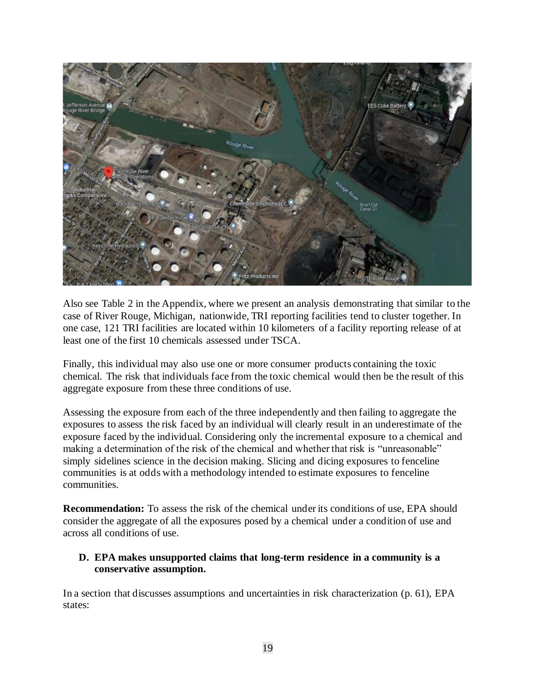

Also see Table 2 in the Appendix, where we present an analysis demonstrating that similar to the case of River Rouge, Michigan, nationwide, TRI reporting facilities tend to cluster together. In one case, 121 TRI facilities are located within 10 kilometers of a facility reporting release of at least one of the first 10 chemicals assessed under TSCA.

Finally, this individual may also use one or more consumer products containing the toxic chemical. The risk that individuals face from the toxic chemical would then be the result of this aggregate exposure from these three conditions of use.

Assessing the exposure from each of the three independently and then failing to aggregate the exposures to assess the risk faced by an individual will clearly result in an underestimate of the exposure faced by the individual. Considering only the incremental exposure to a chemical and making a determination of the risk of the chemical and whether that risk is "unreasonable" simply sidelines science in the decision making. Slicing and dicing exposures to fenceline communities is at odds with a methodology intended to estimate exposures to fenceline communities.

**Recommendation:** To assess the risk of the chemical under its conditions of use, EPA should consider the aggregate of all the exposures posed by a chemical under a condition of use and across all conditions of use.

#### **D. EPA makes unsupported claims that long-term residence in a community is a conservative assumption.**

In a section that discusses assumptions and uncertainties in risk characterization (p. 61), EPA states: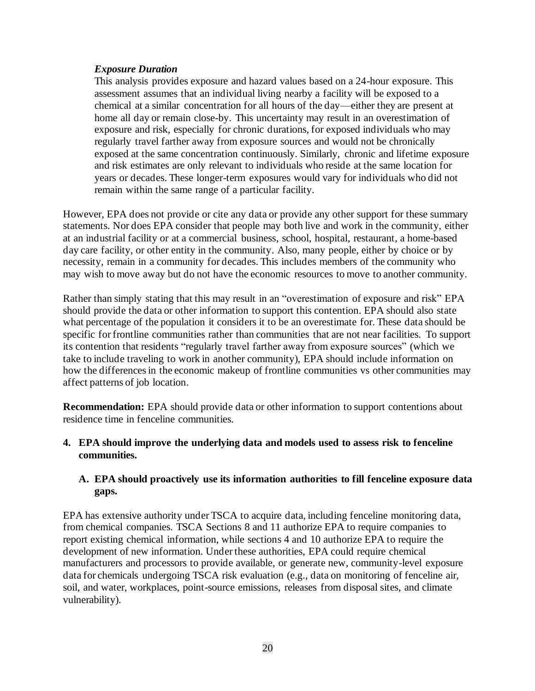#### *Exposure Duration*

This analysis provides exposure and hazard values based on a 24-hour exposure. This assessment assumes that an individual living nearby a facility will be exposed to a chemical at a similar concentration for all hours of the day—either they are present at home all day or remain close-by. This uncertainty may result in an overestimation of exposure and risk, especially for chronic durations, for exposed individuals who may regularly travel farther away from exposure sources and would not be chronically exposed at the same concentration continuously. Similarly, chronic and lifetime exposure and risk estimates are only relevant to individuals who reside at the same location for years or decades. These longer-term exposures would vary for individuals who did not remain within the same range of a particular facility.

However, EPA does not provide or cite any data or provide any other support for these summary statements. Nor does EPA consider that people may both live and work in the community, either at an industrial facility or at a commercial business, school, hospital, restaurant, a home-based day care facility, or other entity in the community. Also, many people, either by choice or by necessity, remain in a community for decades. This includes members of the community who may wish to move away but do not have the economic resources to move to another community.

Rather than simply stating that this may result in an "overestimation of exposure and risk" EPA should provide the data or other information to support this contention. EPA should also state what percentage of the population it considers it to be an overestimate for. These data should be specific for frontline communities rather than communities that are not near facilities. To support its contention that residents "regularly travel farther away from exposure sources" (which we take to include traveling to work in another community), EPA should include information on how the differences in the economic makeup of frontline communities vs other communities may affect patterns of job location.

**Recommendation:** EPA should provide data or other information to support contentions about residence time in fenceline communities.

#### **4. EPA should improve the underlying data and models used to assess risk to fenceline communities.**

#### **A. EPA should proactively use its information authorities to fill fenceline exposure data gaps.**

EPA has extensive authority under TSCA to acquire data, including fenceline monitoring data, from chemical companies. TSCA Sections 8 and 11 authorize EPA to require companies to report existing chemical information, while sections 4 and 10 authorize EPA to require the development of new information. Under these authorities, EPA could require chemical manufacturers and processors to provide available, or generate new, community-level exposure data for chemicals undergoing TSCA risk evaluation (e.g., data on monitoring of fenceline air, soil, and water, workplaces, point-source emissions, releases from disposal sites, and climate vulnerability).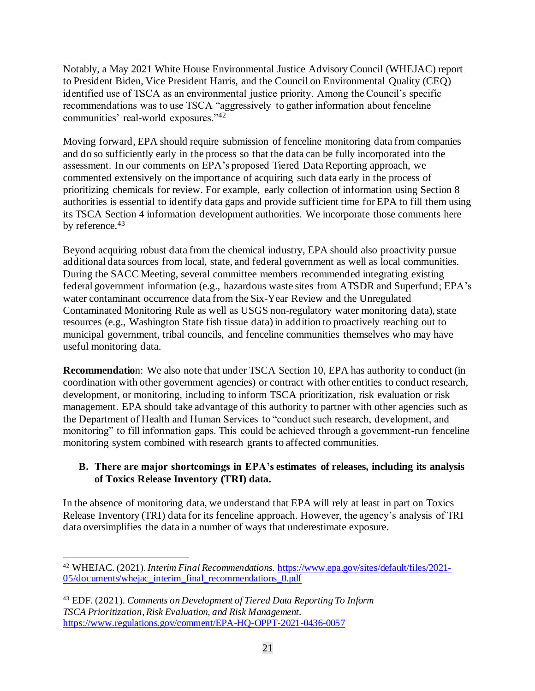Notably, a May 2021 White House Environmental Justice Advisory Council (WHEJAC) report to President Biden, Vice President Harris, and the Council on Environmental Quality (CEQ) identified use of TSCA as an environmental justice priority. Among the Council's specific recommendations was to use TSCA "aggressively to gather information about fenceline communities' real-world exposures."<sup>42</sup>

Moving forward, EPA should require submission of fenceline monitoring data from companies and do so sufficiently early in the process so that the data can be fully incorporated into the assessment. In our comments on EPA's proposed Tiered Data Reporting approach, we commented extensively on the importance of acquiring such data early in the process of prioritizing chemicals for review. For example, early collection of information using Section 8 authorities is essential to identify data gaps and provide sufficient time for EPA to fill them using its TSCA Section 4 information development authorities. We incorporate those comments here by reference.<sup>43</sup>

Beyond acquiring robust data from the chemical industry, EPA should also proactivity pursue additional data sources from local, state, and federal government as well as local communities. During the SACC Meeting, several committee members recommended integrating existing federal government information (e.g., hazardous waste sites from ATSDR and Superfund; EPA's water contaminant occurrence data from the Six-Year Review and the Unregulated Contaminated Monitoring Rule as well as USGS non-regulatory water monitoring data), state resources (e.g., Washington State fish tissue data) in addition to proactively reaching out to municipal government, tribal councils, and fenceline communities themselves who may have useful monitoring data.

**Recommendatio**n: We also note that under TSCA Section 10, EPA has authority to conduct (in coordination with other government agencies) or contract with other entities to conduct research, development, or monitoring, including to inform TSCA prioritization, risk evaluation or risk management. EPA should take advantage of this authority to partner with other agencies such as the Department of Health and Human Services to "conduct such research, development, and monitoring" to fill information gaps. This could be achieved through a government-run fenceline monitoring system combined with research grants to affected communities.

## **B. There are major shortcomings in EPA's estimates of releases, including its analysis of Toxics Release Inventory (TRI) data.**

In the absence of monitoring data, we understand that EPA will rely at least in part on Toxics Release Inventory (TRI) data for its fenceline approach. However, the agency's analysis of TRI data oversimplifies the data in a number of ways that underestimate exposure.

<sup>42</sup> WHEJAC. (2021). *Interim Final Recommendations.* https://www.epa.gov/sites/default/files/2021- 05/documents/whejac\_interim\_final\_recommendations\_0.pdf

<sup>43</sup> EDF. (2021). *Comments on Development of Tiered Data Reporting To Inform TSCA Prioritization, Risk Evaluation, and Risk Management.* https://www.regulations.gov/comment/EPA-HQ-OPPT-2021-0436-0057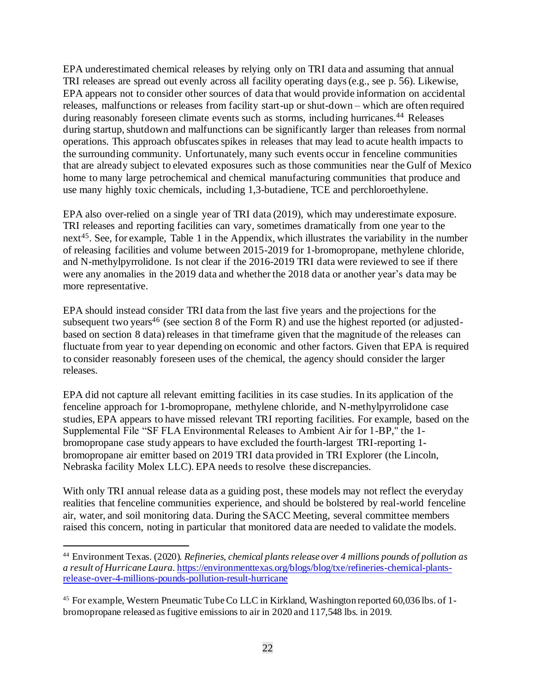EPA underestimated chemical releases by relying only on TRI data and assuming that annual TRI releases are spread out evenly across all facility operating days (e.g., see p. 56). Likewise, EPA appears not to consider other sources of data that would provide information on accidental releases, malfunctions or releases from facility start-up or shut-down – which are often required during reasonably foreseen climate events such as storms, including hurricanes.<sup>44</sup> Releases during startup, shutdown and malfunctions can be significantly larger than releases from normal operations. This approach obfuscates spikes in releases that may lead to acute health impacts to the surrounding community. Unfortunately, many such events occur in fenceline communities that are already subject to elevated exposures such as those communities near the Gulf of Mexico home to many large petrochemical and chemical manufacturing communities that produce and use many highly toxic chemicals, including 1,3-butadiene, TCE and perchloroethylene.

EPA also over-relied on a single year of TRI data (2019), which may underestimate exposure. TRI releases and reporting facilities can vary, sometimes dramatically from one year to the next<sup>45</sup>. See, for example, Table 1 in the Appendix, which illustrates the variability in the number of releasing facilities and volume between 2015-2019 for 1-bromopropane, methylene chloride, and N-methylpyrrolidone. Is not clear if the 2016-2019 TRI data were reviewed to see if there were any anomalies in the 2019 data and whether the 2018 data or another year's data may be more representative.

EPA should instead consider TRI data from the last five years and the projections for the subsequent two years<sup>46</sup> (see section 8 of the Form R) and use the highest reported (or adjustedbased on section 8 data) releases in that timeframe given that the magnitude of the releases can fluctuate from year to year depending on economic and other factors. Given that EPA is required to consider reasonably foreseen uses of the chemical, the agency should consider the larger releases.

EPA did not capture all relevant emitting facilities in its case studies. In its application of the fenceline approach for 1-bromopropane, methylene chloride, and N-methylpyrrolidone case studies, EPA appears to have missed relevant TRI reporting facilities. For example, based on the Supplemental File "SF FLA Environmental Releases to Ambient Air for 1-BP," the 1 bromopropane case study appears to have excluded the fourth-largest TRI-reporting 1 bromopropane air emitter based on 2019 TRI data provided in TRI Explorer (the Lincoln, Nebraska facility Molex LLC). EPA needs to resolve these discrepancies.

With only TRI annual release data as a guiding post, these models may not reflect the everyday realities that fenceline communities experience, and should be bolstered by real-world fenceline air, water, and soil monitoring data. During the SACC Meeting, several committee members raised this concern, noting in particular that monitored data are needed to validate the models.

<sup>44</sup> Environment Texas. (2020). *Refineries, chemical plants release over 4 millions pounds of pollution as a result of Hurricane Laura*. https://environmenttexas.org/blogs/blog/txe/refineries-chemical-plantsrelease-over-4-millions-pounds-pollution-result-hurricane

<sup>45</sup> For example, Western Pneumatic Tube Co LLC in Kirkland, Washington reported 60,036 lbs. of 1 bromopropane released as fugitive emissions to air in 2020 and 117,548 lbs. in 2019.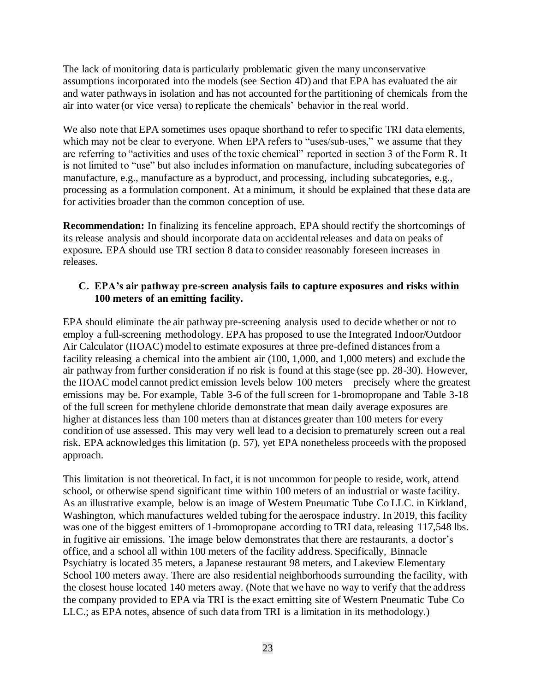The lack of monitoring data is particularly problematic given the many unconservative assumptions incorporated into the models (see Section 4D) and that EPA has evaluated the air and water pathways in isolation and has not accounted for the partitioning of chemicals from the air into water (or vice versa) to replicate the chemicals' behavior in the real world.

We also note that EPA sometimes uses opaque shorthand to refer to specific TRI data elements, which may not be clear to everyone. When EPA refers to "uses/sub-uses," we assume that they are referring to "activities and uses of the toxic chemical" reported in section 3 of the Form R. It is not limited to "use" but also includes information on manufacture, including subcategories of manufacture, e.g., manufacture as a byproduct, and processing, including subcategories, e.g., processing as a formulation component. At a minimum, it should be explained that these data are for activities broader than the common conception of use.

**Recommendation:** In finalizing its fenceline approach, EPA should rectify the shortcomings of its release analysis and should incorporate data on accidental releases and data on peaks of exposure*.* EPA should use TRI section 8 data to consider reasonably foreseen increases in releases.

#### **C. EPA's air pathway pre-screen analysis fails to capture exposures and risks within 100 meters of an emitting facility.**

EPA should eliminate the air pathway pre-screening analysis used to decide whether or not to employ a full-screening methodology. EPA has proposed to use the Integrated Indoor/Outdoor Air Calculator (IIOAC) model to estimate exposures at three pre-defined distances from a facility releasing a chemical into the ambient air (100, 1,000, and 1,000 meters) and exclude the air pathway from further consideration if no risk is found at this stage (see pp. 28-30). However, the IIOAC model cannot predict emission levels below 100 meters – precisely where the greatest emissions may be. For example, Table 3-6 of the full screen for 1-bromopropane and Table 3-18 of the full screen for methylene chloride demonstrate that mean daily average exposures are higher at distances less than 100 meters than at distances greater than 100 meters for every condition of use assessed. This may very well lead to a decision to prematurely screen out a real risk. EPA acknowledges this limitation (p. 57), yet EPA nonetheless proceeds with the proposed approach.

This limitation is not theoretical. In fact, it is not uncommon for people to reside, work, attend school, or otherwise spend significant time within 100 meters of an industrial or waste facility. As an illustrative example, below is an image of Western Pneumatic Tube Co LLC. in Kirkland, Washington, which manufactures welded tubing for the aerospace industry. In 2019, this facility was one of the biggest emitters of 1-bromopropane according to TRI data, releasing 117,548 lbs. in fugitive air emissions. The image below demonstrates that there are restaurants, a doctor's office, and a school all within 100 meters of the facility address. Specifically, Binnacle Psychiatry is located 35 meters, a Japanese restaurant 98 meters, and Lakeview Elementary School 100 meters away. There are also residential neighborhoods surrounding the facility, with the closest house located 140 meters away. (Note that we have no way to verify that the address the company provided to EPA via TRI is the exact emitting site of Western Pneumatic Tube Co LLC.; as EPA notes, absence of such data from TRI is a limitation in its methodology.)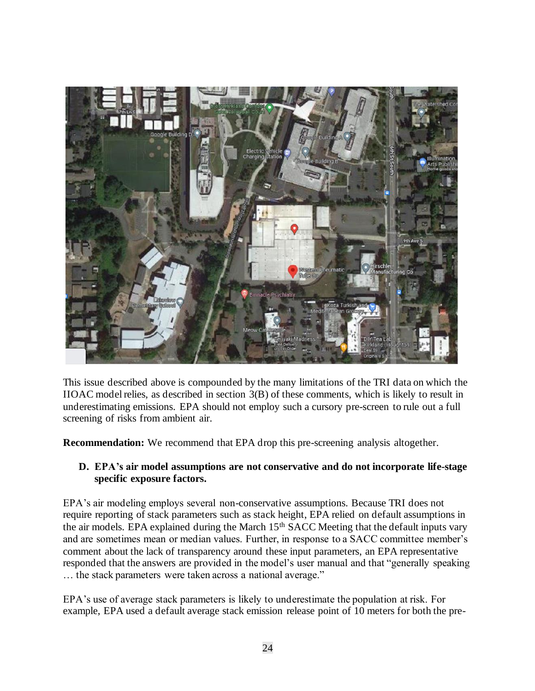

This issue described above is compounded by the many limitations of the TRI data on which the IIOAC model relies, as described in section 3(B) of these comments, which is likely to result in underestimating emissions. EPA should not employ such a cursory pre-screen to rule out a full screening of risks from ambient air.

**Recommendation:** We recommend that EPA drop this pre-screening analysis altogether.

### **D. EPA's air model assumptions are not conservative and do not incorporate life-stage specific exposure factors.**

EPA's air modeling employs several non-conservative assumptions. Because TRI does not require reporting of stack parameters such as stack height, EPA relied on default assumptions in the air models. EPA explained during the March 15<sup>th</sup> SACC Meeting that the default inputs vary and are sometimes mean or median values. Further, in response to a SACC committee member's comment about the lack of transparency around these input parameters, an EPA representative responded that the answers are provided in the model's user manual and that "generally speaking … the stack parameters were taken across a national average."

EPA's use of average stack parameters is likely to underestimate the population at risk. For example, EPA used a default average stack emission release point of 10 meters for both the pre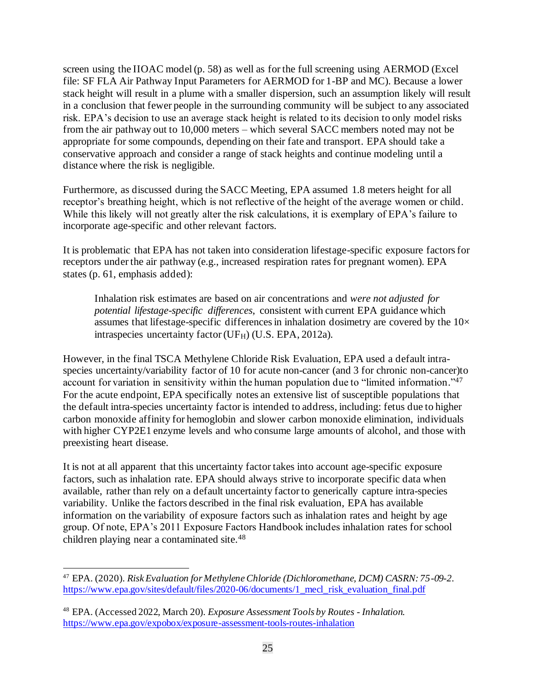screen using the IIOAC model (p. 58) as well as for the full screening using AERMOD (Excel file: SF FLA Air Pathway Input Parameters for AERMOD for 1-BP and MC). Because a lower stack height will result in a plume with a smaller dispersion, such an assumption likely will result in a conclusion that fewer people in the surrounding community will be subject to any associated risk. EPA's decision to use an average stack height is related to its decision to only model risks from the air pathway out to 10,000 meters – which several SACC members noted may not be appropriate for some compounds, depending on their fate and transport. EPA should take a conservative approach and consider a range of stack heights and continue modeling until a distance where the risk is negligible.

Furthermore, as discussed during the SACC Meeting, EPA assumed 1.8 meters height for all receptor's breathing height, which is not reflective of the height of the average women or child. While this likely will not greatly alter the risk calculations, it is exemplary of EPA's failure to incorporate age-specific and other relevant factors.

It is problematic that EPA has not taken into consideration lifestage-specific exposure factors for receptors under the air pathway (e.g., increased respiration rates for pregnant women). EPA states (p. 61, emphasis added):

Inhalation risk estimates are based on air concentrations and *were not adjusted for potential lifestage-specific differences*, consistent with current EPA guidance which assumes that lifestage-specific differences in inhalation dosimetry are covered by the  $10\times$ intraspecies uncertainty factor (UF<sub>H</sub>) (U.S. EPA, 2012a).

However, in the final TSCA Methylene Chloride Risk Evaluation, EPA used a default intraspecies uncertainty/variability factor of 10 for acute non-cancer (and 3 for chronic non-cancer)to account for variation in sensitivity within the human population due to "limited information."<sup>47</sup> For the acute endpoint, EPA specifically notes an extensive list of susceptible populations that the default intra-species uncertainty factor is intended to address, including: fetus due to higher carbon monoxide affinity for hemoglobin and slower carbon monoxide elimination, individuals with higher CYP2E1 enzyme levels and who consume large amounts of alcohol, and those with preexisting heart disease.

It is not at all apparent that this uncertainty factor takes into account age-specific exposure factors, such as inhalation rate. EPA should always strive to incorporate specific data when available, rather than rely on a default uncertainty factor to generically capture intra-species variability. Unlike the factors described in the final risk evaluation, EPA has available information on the variability of exposure factors such as inhalation rates and height by age group. Of note, EPA's 2011 Exposure Factors Handbook includes inhalation rates for school children playing near a contaminated site.<sup>48</sup>

<sup>47</sup> EPA. (2020). *Risk Evaluation for Methylene Chloride (Dichloromethane, DCM) CASRN: 75-09-2.* https://www.epa.gov/sites/default/files/2020-06/documents/1\_mecl\_risk\_evaluation\_final.pdf

<sup>48</sup> EPA. (Accessed 2022, March 20). *Exposure Assessment Tools by Routes - Inhalation.* https://www.epa.gov/expobox/exposure-assessment-tools-routes-inhalation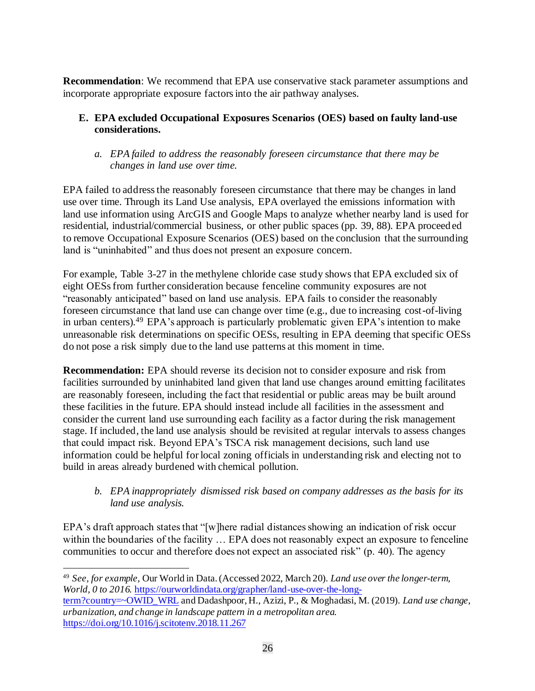**Recommendation**: We recommend that EPA use conservative stack parameter assumptions and incorporate appropriate exposure factors into the air pathway analyses.

## **E. EPA excluded Occupational Exposures Scenarios (OES) based on faulty land-use considerations.**

*a. EPA failed to address the reasonably foreseen circumstance that there may be changes in land use over time.*

EPA failed to address the reasonably foreseen circumstance that there may be changes in land use over time. Through its Land Use analysis, EPA overlayed the emissions information with land use information using ArcGIS and Google Maps to analyze whether nearby land is used for residential, industrial/commercial business, or other public spaces (pp. 39, 88). EPA proceed ed to remove Occupational Exposure Scenarios (OES) based on the conclusion that the surrounding land is "uninhabited" and thus does not present an exposure concern.

For example, Table 3-27 in the methylene chloride case study shows that EPA excluded six of eight OESs from further consideration because fenceline community exposures are not "reasonably anticipated" based on land use analysis. EPA fails to consider the reasonably foreseen circumstance that land use can change over time (e.g., due to increasing cost-of-living in urban centers).<sup>49</sup> EPA's approach is particularly problematic given EPA's intention to make unreasonable risk determinations on specific OESs, resulting in EPA deeming that specific OESs do not pose a risk simply due to the land use patterns at this moment in time.

**Recommendation:** EPA should reverse its decision not to consider exposure and risk from facilities surrounded by uninhabited land given that land use changes around emitting facilitates are reasonably foreseen, including the fact that residential or public areas may be built around these facilities in the future. EPA should instead include all facilities in the assessment and consider the current land use surrounding each facility as a factor during the risk management stage. If included, the land use analysis should be revisited at regular intervals to assess changes that could impact risk. Beyond EPA's TSCA risk management decisions, such land use information could be helpful for local zoning officials in understanding risk and electing not to build in areas already burdened with chemical pollution.

*b. EPA inappropriately dismissed risk based on company addresses as the basis for its land use analysis.*

EPA's draft approach states that "[w]here radial distances showing an indication of risk occur within the boundaries of the facility ... EPA does not reasonably expect an exposure to fenceline communities to occur and therefore does not expect an associated risk" (p. 40). The agency

<sup>49</sup> *See, for example,* Our World in Data. (Accessed 2022, March 20). *Land use over the longer-term, World, 0 to 2016.* https://ourworldindata.org/grapher/land-use-over-the-longterm?country=~OWID\_WRL and Dadashpoor, H., Azizi, P., & Moghadasi, M. (2019). *Land use change, urbanization, and change in landscape pattern in a metropolitan area.* https://doi.org/10.1016/j.scitotenv.2018.11.267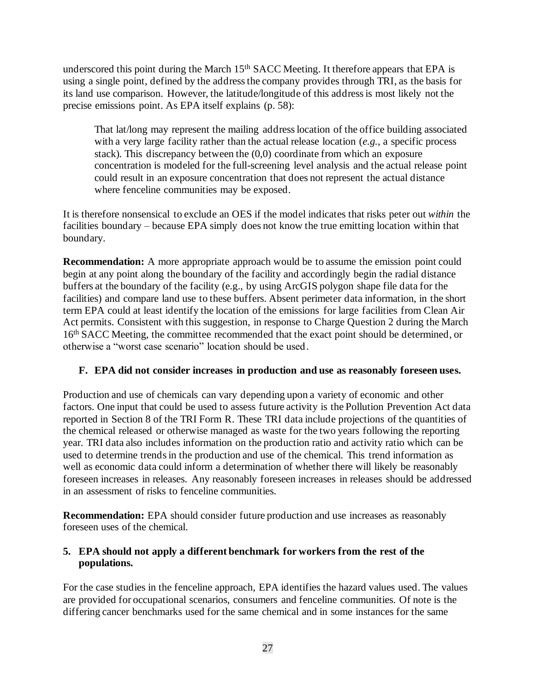underscored this point during the March  $15<sup>th</sup>$  SACC Meeting. It therefore appears that EPA is using a single point, defined by the address the company provides through TRI, as the basis for its land use comparison. However, the latitude/longitude of this address is most likely not the precise emissions point. As EPA itself explains (p. 58):

That lat/long may represent the mailing address location of the office building associated with a very large facility rather than the actual release location (*e.g.*, a specific process stack). This discrepancy between the (0,0) coordinate from which an exposure concentration is modeled for the full-screening level analysis and the actual release point could result in an exposure concentration that does not represent the actual distance where fenceline communities may be exposed.

It is therefore nonsensical to exclude an OES if the model indicates that risks peter out *within* the facilities boundary – because EPA simply does not know the true emitting location within that boundary.

**Recommendation:** A more appropriate approach would be to assume the emission point could begin at any point along the boundary of the facility and accordingly begin the radial distance buffers at the boundary of the facility (e.g., by using ArcGIS polygon shape file data for the facilities) and compare land use to these buffers. Absent perimeter data information, in the short term EPA could at least identify the location of the emissions for large facilities from Clean Air Act permits. Consistent with this suggestion, in response to Charge Question 2 during the March 16<sup>th</sup> SACC Meeting, the committee recommended that the exact point should be determined, or otherwise a "worst case scenario" location should be used.

### **F. EPA did not consider increases in production and use as reasonably foreseen uses.**

Production and use of chemicals can vary depending upon a variety of economic and other factors. One input that could be used to assess future activity is the Pollution Prevention Act data reported in Section 8 of the TRI Form R. These TRI data include projections of the quantities of the chemical released or otherwise managed as waste for the two years following the reporting year. TRI data also includes information on the production ratio and activity ratio which can be used to determine trends in the production and use of the chemical. This trend information as well as economic data could inform a determination of whether there will likely be reasonably foreseen increases in releases. Any reasonably foreseen increases in releases should be addressed in an assessment of risks to fenceline communities.

**Recommendation:** EPA should consider future production and use increases as reasonably foreseen uses of the chemical.

#### **5. EPA should not apply a different benchmark for workers from the rest of the populations.**

For the case studies in the fenceline approach, EPA identifies the hazard values used. The values are provided for occupational scenarios, consumers and fenceline communities. Of note is the differing cancer benchmarks used for the same chemical and in some instances for the same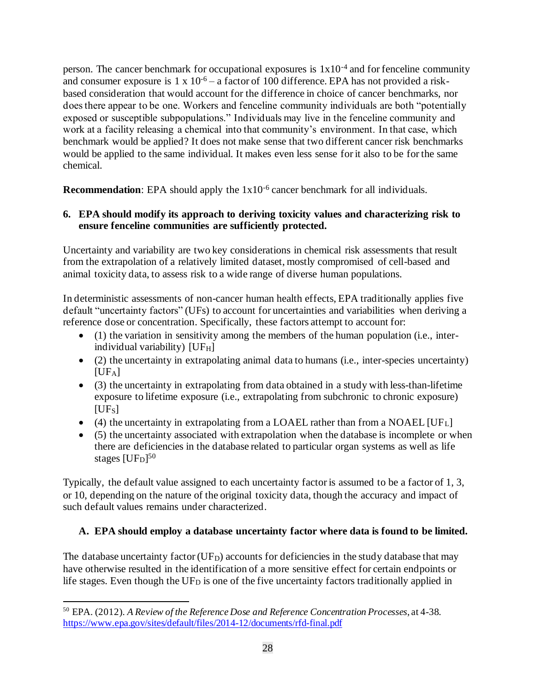person. The cancer benchmark for occupational exposures is  $1x10^{-4}$  and for fenceline community and consumer exposure is  $1 \times 10^{-6}$  – a factor of 100 difference. EPA has not provided a riskbased consideration that would account for the difference in choice of cancer benchmarks, nor does there appear to be one. Workers and fenceline community individuals are both "potentially exposed or susceptible subpopulations." Individuals may live in the fenceline community and work at a facility releasing a chemical into that community's environment. In that case, which benchmark would be applied? It does not make sense that two different cancer risk benchmarks would be applied to the same individual. It makes even less sense for it also to be for the same chemical.

**Recommendation**: EPA should apply the  $1x10^{-6}$  cancer benchmark for all individuals.

## **6. EPA should modify its approach to deriving toxicity values and characterizing risk to ensure fenceline communities are sufficiently protected.**

Uncertainty and variability are two key considerations in chemical risk assessments that result from the extrapolation of a relatively limited dataset, mostly compromised of cell-based and animal toxicity data, to assess risk to a wide range of diverse human populations.

In deterministic assessments of non-cancer human health effects, EPA traditionally applies five default "uncertainty factors" (UFs) to account for uncertainties and variabilities when deriving a reference dose or concentration. Specifically, these factors attempt to account for:

- (1) the variation in sensitivity among the members of the human population (i.e., interindividual variability) [UFH]
- (2) the uncertainty in extrapolating animal data to humans (i.e., inter-species uncertainty)  $[UF<sub>A</sub>]$
- (3) the uncertainty in extrapolating from data obtained in a study with less-than-lifetime exposure to lifetime exposure (i.e., extrapolating from subchronic to chronic exposure)  $[UFs]$
- (4) the uncertainty in extrapolating from a LOAEL rather than from a NOAEL [UF<sub>L</sub>]
- (5) the uncertainty associated with extrapolation when the database is incomplete or when there are deficiencies in the database related to particular organ systems as well as life stages [UF<sub>D</sub>]<sup>50</sup>

Typically, the default value assigned to each uncertainty factor is assumed to be a factor of 1, 3, or 10, depending on the nature of the original toxicity data, though the accuracy and impact of such default values remains under characterized.

## **A. EPA should employ a database uncertainty factor where data is found to be limited.**

The database uncertainty factor (UF<sub>D</sub>) accounts for deficiencies in the study database that may have otherwise resulted in the identification of a more sensitive effect for certain endpoints or life stages. Even though the  $UF<sub>D</sub>$  is one of the five uncertainty factors traditionally applied in

<sup>50</sup> EPA. (2012). *A Review of the Reference Dose and Reference Concentration Processes*, at 4-38. https://www.epa.gov/sites/default/files/2014-12/documents/rfd-final.pdf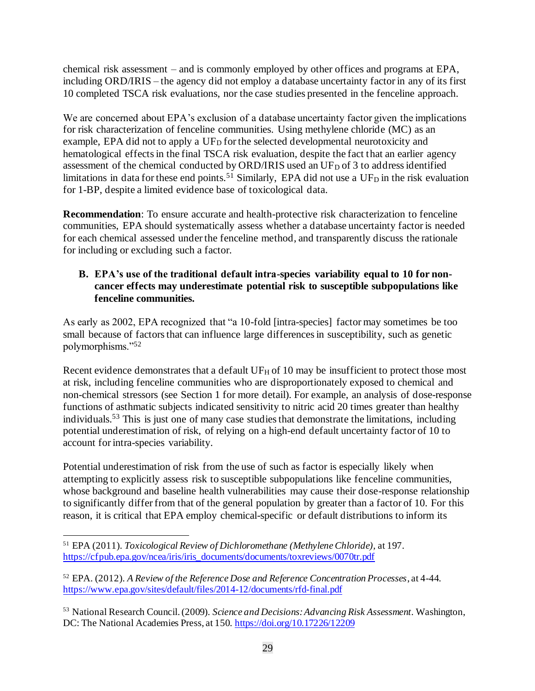chemical risk assessment – and is commonly employed by other offices and programs at EPA, including ORD/IRIS – the agency did not employ a database uncertainty factor in any of its first 10 completed TSCA risk evaluations, nor the case studies presented in the fenceline approach.

We are concerned about EPA's exclusion of a database uncertainty factor given the implications for risk characterization of fenceline communities. Using methylene chloride (MC) as an example, EPA did not to apply a UF<sub>D</sub> for the selected developmental neurotoxicity and hematological effects in the final TSCA risk evaluation, despite the fact that an earlier agency assessment of the chemical conducted by ORD/IRIS used an UF<sub>D</sub> of 3 to address identified limitations in data for these end points.<sup>51</sup> Similarly, EPA did not use a UF<sub>D</sub> in the risk evaluation for 1-BP, despite a limited evidence base of toxicological data.

**Recommendation**: To ensure accurate and health-protective risk characterization to fenceline communities, EPA should systematically assess whether a database uncertainty factor is needed for each chemical assessed under the fenceline method, and transparently discuss the rationale for including or excluding such a factor.

### **B. EPA's use of the traditional default intra-species variability equal to 10 for noncancer effects may underestimate potential risk to susceptible subpopulations like fenceline communities.**

As early as 2002, EPA recognized that "a 10-fold [intra-species] factor may sometimes be too small because of factors that can influence large differences in susceptibility, such as genetic polymorphisms."<sup>52</sup>

Recent evidence demonstrates that a default UF<sub>H</sub> of 10 may be insufficient to protect those most at risk, including fenceline communities who are disproportionately exposed to chemical and non-chemical stressors (see Section 1 for more detail). For example, an analysis of dose-response functions of asthmatic subjects indicated sensitivity to nitric acid 20 times greater than healthy individuals.<sup>53</sup> This is just one of many case studies that demonstrate the limitations, including potential underestimation of risk, of relying on a high-end default uncertainty factor of 10 to account for intra-species variability.

Potential underestimation of risk from the use of such as factor is especially likely when attempting to explicitly assess risk to susceptible subpopulations like fenceline communities, whose background and baseline health vulnerabilities may cause their dose-response relationship to significantly differ from that of the general population by greater than a factor of 10. For this reason, it is critical that EPA employ chemical-specific or default distributions to inform its

<sup>51</sup> EPA (2011). *Toxicological Review of Dichloromethane (Methylene Chloride),* at 197. https://cfpub.epa.gov/ncea/iris/iris\_documents/documents/toxreviews/0070tr.pdf

<sup>52</sup> EPA. (2012). *A Review of the Reference Dose and Reference Concentration Processes*, at 4-44. https://www.epa.gov/sites/default/files/2014-12/documents/rfd-final.pdf

<sup>53</sup> National Research Council. (2009). *Science and Decisions: Advancing Risk Assessment*. Washington, DC: The National Academies Press, at 150. https://doi.org/10.17226/12209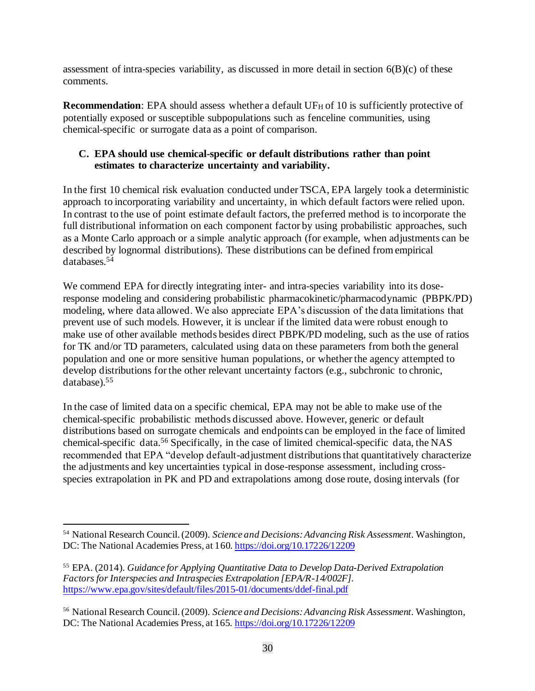assessment of intra-species variability, as discussed in more detail in section  $6(B)(c)$  of these comments.

**Recommendation:** EPA should assess whether a default UF<sub>H</sub> of 10 is sufficiently protective of potentially exposed or susceptible subpopulations such as fenceline communities, using chemical-specific or surrogate data as a point of comparison.

## **C. EPA should use chemical-specific or default distributions rather than point estimates to characterize uncertainty and variability.**

In the first 10 chemical risk evaluation conducted under TSCA, EPA largely took a deterministic approach to incorporating variability and uncertainty, in which default factors were relied upon. In contrast to the use of point estimate default factors, the preferred method is to incorporate the full distributional information on each component factor by using probabilistic approaches, such as a Monte Carlo approach or a simple analytic approach (for example, when adjustments can be described by lognormal distributions). These distributions can be defined from empirical databases.<sup>54</sup>

We commend EPA for directly integrating inter- and intra-species variability into its doseresponse modeling and considering probabilistic pharmacokinetic/pharmacodynamic (PBPK/PD) modeling, where data allowed. We also appreciate EPA's discussion of the data limitations that prevent use of such models. However, it is unclear if the limited data were robust enough to make use of other available methods besides direct PBPK/PD modeling, such as the use of ratios for TK and/or TD parameters, calculated using data on these parameters from both the general population and one or more sensitive human populations, or whether the agency attempted to develop distributions for the other relevant uncertainty factors (e.g., subchronic to chronic, database). 55

In the case of limited data on a specific chemical, EPA may not be able to make use of the chemical-specific probabilistic methods discussed above. However, generic or default distributions based on surrogate chemicals and endpoints can be employed in the face of limited chemical-specific data.<sup>56</sup> Specifically, in the case of limited chemical-specific data, the NAS recommended that EPA "develop default-adjustment distributions that quantitatively characterize the adjustments and key uncertainties typical in dose-response assessment, including crossspecies extrapolation in PK and PD and extrapolations among dose route, dosing intervals (for

<sup>54</sup> National Research Council. (2009). *Science and Decisions: Advancing Risk Assessment*. Washington, DC: The National Academies Press, at 160. https://doi.org/10.17226/12209

<sup>55</sup> EPA. (2014). *Guidance for Applying Quantitative Data to Develop Data-Derived Extrapolation Factors for Interspecies and Intraspecies Extrapolation [EPA/R-14/002F].* https://www.epa.gov/sites/default/files/2015-01/documents/ddef-final.pdf

<sup>56</sup> National Research Council. (2009). *Science and Decisions: Advancing Risk Assessment*. Washington, DC: The National Academies Press, at 165. https://doi.org/10.17226/12209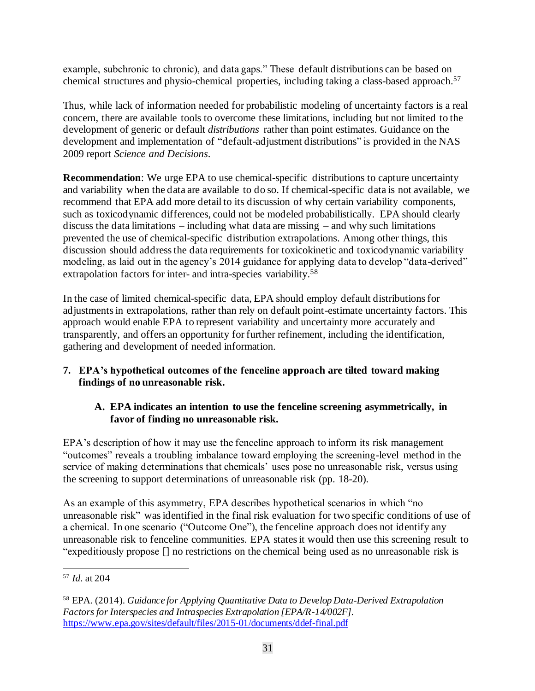example, subchronic to chronic), and data gaps." These default distributions can be based on chemical structures and physio-chemical properties, including taking a class-based approach. 57

Thus, while lack of information needed for probabilistic modeling of uncertainty factors is a real concern, there are available tools to overcome these limitations, including but not limited to the development of generic or default *distributions* rather than point estimates. Guidance on the development and implementation of "default-adjustment distributions" is provided in the NAS 2009 report *Science and Decisions*.

**Recommendation**: We urge EPA to use chemical-specific distributions to capture uncertainty and variability when the data are available to do so. If chemical-specific data is not available, we recommend that EPA add more detail to its discussion of why certain variability components, such as toxicodynamic differences, could not be modeled probabilistically. EPA should clearly discuss the data limitations – including what data are missing – and why such limitations prevented the use of chemical-specific distribution extrapolations. Among other things, this discussion should address the data requirements for toxicokinetic and toxicodynamic variability modeling, as laid out in the agency's 2014 guidance for applying data to develop "data-derived" extrapolation factors for inter- and intra-species variability.<sup>58</sup>

In the case of limited chemical-specific data, EPA should employ default distributions for adjustments in extrapolations, rather than rely on default point-estimate uncertainty factors. This approach would enable EPA to represent variability and uncertainty more accurately and transparently, and offers an opportunity for further refinement, including the identification, gathering and development of needed information.

## **7. EPA's hypothetical outcomes of the fenceline approach are tilted toward making findings of no unreasonable risk.**

## **A. EPA indicates an intention to use the fenceline screening asymmetrically, in favor of finding no unreasonable risk.**

EPA's description of how it may use the fenceline approach to inform its risk management "outcomes" reveals a troubling imbalance toward employing the screening-level method in the service of making determinations that chemicals' uses pose no unreasonable risk, versus using the screening to support determinations of unreasonable risk (pp. 18-20).

As an example of this asymmetry, EPA describes hypothetical scenarios in which "no unreasonable risk" was identified in the final risk evaluation for two specific conditions of use of a chemical. In one scenario ("Outcome One"), the fenceline approach does not identify any unreasonable risk to fenceline communities. EPA states it would then use this screening result to "expeditiously propose [] no restrictions on the chemical being used as no unreasonable risk is

<sup>57</sup> *Id.* at 204

<sup>58</sup> EPA. (2014). *Guidance for Applying Quantitative Data to Develop Data-Derived Extrapolation Factors for Interspecies and Intraspecies Extrapolation [EPA/R-14/002F].* https://www.epa.gov/sites/default/files/2015-01/documents/ddef-final.pdf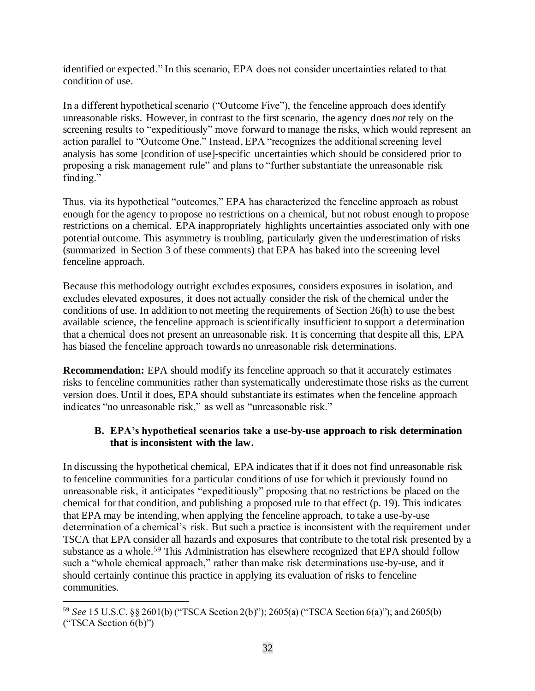identified or expected." In this scenario, EPA does not consider uncertainties related to that condition of use.

In a different hypothetical scenario ("Outcome Five"), the fenceline approach does identify unreasonable risks. However, in contrast to the first scenario, the agency does *not* rely on the screening results to "expeditiously" move forward to manage the risks, which would represent an action parallel to "Outcome One." Instead, EPA "recognizes the additional screening level analysis has some [condition of use]-specific uncertainties which should be considered prior to proposing a risk management rule" and plans to "further substantiate the unreasonable risk finding."

Thus, via its hypothetical "outcomes," EPA has characterized the fenceline approach as robust enough for the agency to propose no restrictions on a chemical, but not robust enough to propose restrictions on a chemical. EPA inappropriately highlights uncertainties associated only with one potential outcome. This asymmetry is troubling, particularly given the underestimation of risks (summarized in Section 3 of these comments) that EPA has baked into the screening level fenceline approach.

Because this methodology outright excludes exposures, considers exposures in isolation, and excludes elevated exposures, it does not actually consider the risk of the chemical under the conditions of use. In addition to not meeting the requirements of Section 26(h) to use the best available science, the fenceline approach is scientifically insufficient to support a determination that a chemical does not present an unreasonable risk. It is concerning that despite all this, EPA has biased the fenceline approach towards no unreasonable risk determinations.

**Recommendation:** EPA should modify its fenceline approach so that it accurately estimates risks to fenceline communities rather than systematically underestimate those risks as the current version does. Until it does, EPA should substantiate its estimates when the fenceline approach indicates "no unreasonable risk," as well as "unreasonable risk."

### **B. EPA's hypothetical scenarios take a use-by-use approach to risk determination that is inconsistent with the law.**

In discussing the hypothetical chemical, EPA indicates that if it does not find unreasonable risk to fenceline communities for a particular conditions of use for which it previously found no unreasonable risk, it anticipates "expeditiously" proposing that no restrictions be placed on the chemical for that condition, and publishing a proposed rule to that effect (p. 19). This indicates that EPA may be intending, when applying the fenceline approach, to take a use-by-use determination of a chemical's risk. But such a practice is inconsistent with the requirement under TSCA that EPA consider all hazards and exposures that contribute to the total risk presented by a substance as a whole.<sup>59</sup> This Administration has elsewhere recognized that EPA should follow such a "whole chemical approach," rather than make risk determinations use-by-use, and it should certainly continue this practice in applying its evaluation of risks to fenceline communities.

<sup>59</sup> *See* 15 U.S.C. §§ 2601(b) ("TSCA Section 2(b)"); 2605(a) ("TSCA Section 6(a)"); and 2605(b) ("TSCA Section 6(b)")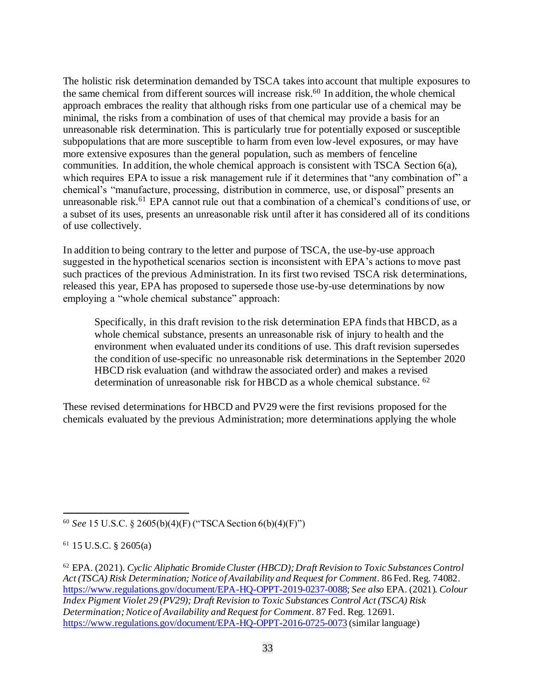The holistic risk determination demanded by TSCA takes into account that multiple exposures to the same chemical from different sources will increase risk.<sup>60</sup> In addition, the whole chemical approach embraces the reality that although risks from one particular use of a chemical may be minimal, the risks from a combination of uses of that chemical may provide a basis for an unreasonable risk determination. This is particularly true for potentially exposed or susceptible subpopulations that are more susceptible to harm from even low-level exposures, or may have more extensive exposures than the general population, such as members of fenceline communities. In addition, the whole chemical approach is consistent with TSCA Section 6(a), which requires EPA to issue a risk management rule if it determines that "any combination of" a chemical's "manufacture, processing, distribution in commerce, use, or disposal" presents an unreasonable risk.<sup>61</sup> EPA cannot rule out that a combination of a chemical's conditions of use, or a subset of its uses, presents an unreasonable risk until after it has considered all of its conditions of use collectively.

In addition to being contrary to the letter and purpose of TSCA, the use-by-use approach suggested in the hypothetical scenarios section is inconsistent with EPA's actions to move past such practices of the previous Administration. In its first two revised TSCA risk determinations, released this year, EPA has proposed to supersede those use-by-use determinations by now employing a "whole chemical substance" approach:

Specifically, in this draft revision to the risk determination EPA finds that HBCD, as a whole chemical substance, presents an unreasonable risk of injury to health and the environment when evaluated under its conditions of use. This draft revision supersedes the condition of use-specific no unreasonable risk determinations in the September 2020 HBCD risk evaluation (and withdraw the associated order) and makes a revised determination of unreasonable risk for HBCD as a whole chemical substance. <sup>62</sup>

These revised determinations for HBCD and PV29 were the first revisions proposed for the chemicals evaluated by the previous Administration; more determinations applying the whole

<sup>60</sup> *See* 15 U.S.C. § 2605(b)(4)(F) ("TSCA Section 6(b)(4)(F)")

<sup>61</sup> 15 U.S.C. § 2605(a)

<sup>62</sup> EPA. (2021). *Cyclic Aliphatic Bromide Cluster (HBCD); Draft Revision to Toxic Substances Control Act (TSCA) Risk Determination; Notice of Availability and Request for Comment.* 86 Fed. Reg. 74082. https://www.regulations.gov/document/EPA-HQ-OPPT-2019-0237-0088; *See also* EPA. (2021). *Colour Index Pigment Violet 29 (PV29); Draft Revision to Toxic Substances Control Act (TSCA) Risk Determination; Notice of Availability and Request for Comment*. 87 Fed. Reg. 12691. https://www.regulations.gov/document/EPA-HQ-OPPT-2016-0725-0073 (similar language)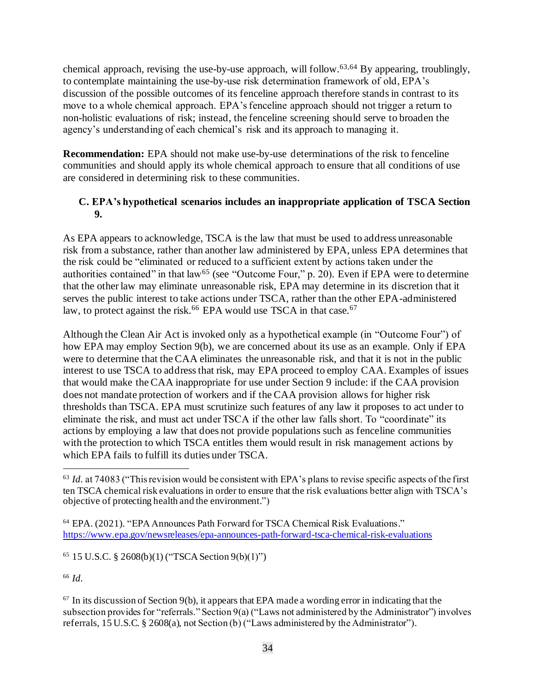chemical approach, revising the use-by-use approach, will follow.63,64 By appearing, troublingly, to contemplate maintaining the use-by-use risk determination framework of old, EPA's discussion of the possible outcomes of its fenceline approach therefore stands in contrast to its move to a whole chemical approach. EPA's fenceline approach should not trigger a return to non-holistic evaluations of risk; instead, the fenceline screening should serve to broaden the agency's understanding of each chemical's risk and its approach to managing it.

**Recommendation:** EPA should not make use-by-use determinations of the risk to fenceline communities and should apply its whole chemical approach to ensure that all conditions of use are considered in determining risk to these communities.

## **C. EPA's hypothetical scenarios includes an inappropriate application of TSCA Section 9.**

As EPA appears to acknowledge, TSCA is the law that must be used to address unreasonable risk from a substance, rather than another law administered by EPA, unless EPA determines that the risk could be "eliminated or reduced to a sufficient extent by actions taken under the authorities contained" in that law<sup>65</sup> (see "Outcome Four," p. 20). Even if EPA were to determine that the other law may eliminate unreasonable risk, EPA may determine in its discretion that it serves the public interest to take actions under TSCA, rather than the other EPA-administered law, to protect against the risk.<sup>66</sup> EPA would use TSCA in that case.<sup>67</sup>

Although the Clean Air Act is invoked only as a hypothetical example (in "Outcome Four") of how EPA may employ Section 9(b), we are concerned about its use as an example. Only if EPA were to determine that the CAA eliminates the unreasonable risk, and that it is not in the public interest to use TSCA to address that risk, may EPA proceed to employ CAA. Examples of issues that would make the CAA inappropriate for use under Section 9 include: if the CAA provision does not mandate protection of workers and if the CAA provision allows for higher risk thresholds than TSCA. EPA must scrutinize such features of any law it proposes to act under to eliminate the risk, and must act under TSCA if the other law falls short. To "coordinate" its actions by employing a law that does not provide populations such as fenceline communities with the protection to which TSCA entitles them would result in risk management actions by which EPA fails to fulfill its duties under TSCA.

 $65$  15 U.S.C. § 2608(b)(1) ("TSCA Section 9(b)(1)")

<sup>66</sup> *Id.*

<sup>&</sup>lt;sup>63</sup> *Id.* at 74083 ("This revision would be consistent with EPA's plans to revise specific aspects of the first ten TSCA chemical risk evaluations in order to ensure that the risk evaluations better align with TSCA's objective of protecting health and the environment.")

<sup>64</sup> EPA. (2021). "EPA Announces Path Forward for TSCA Chemical Risk Evaluations." https://www.epa.gov/newsreleases/epa-announces-path-forward-tsca-chemical-risk-evaluations

 $67$  In its discussion of Section 9(b), it appears that EPA made a wording error in indicating that the subsection provides for "referrals." Section 9(a) ("Laws not administered by the Administrator") involves referrals, 15 U.S.C. § 2608(a), not Section (b) ("Laws administered by the Administrator").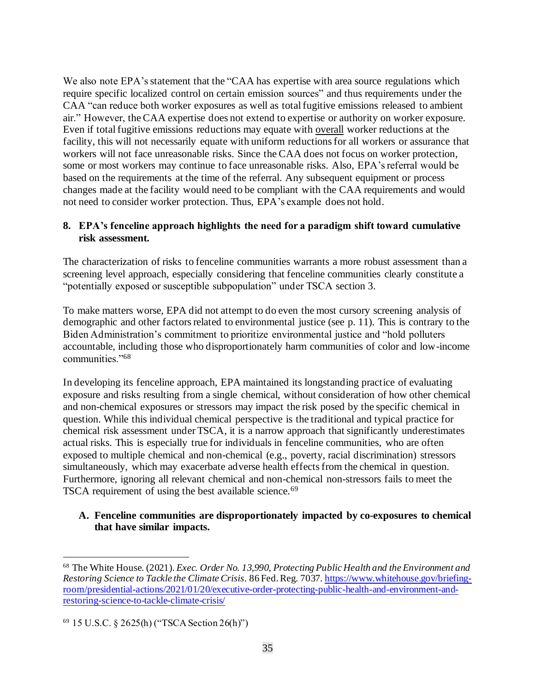We also note EPA's statement that the "CAA has expertise with area source regulations which require specific localized control on certain emission sources" and thus requirements under the CAA "can reduce both worker exposures as well as total fugitive emissions released to ambient air." However, the CAA expertise does not extend to expertise or authority on worker exposure. Even if total fugitive emissions reductions may equate with overall worker reductions at the facility, this will not necessarily equate with uniform reductions for all workers or assurance that workers will not face unreasonable risks. Since the CAA does not focus on worker protection, some or most workers may continue to face unreasonable risks. Also, EPA's referral would be based on the requirements at the time of the referral. Any subsequent equipment or process changes made at the facility would need to be compliant with the CAA requirements and would not need to consider worker protection. Thus, EPA's example does not hold.

#### **8. EPA's fenceline approach highlights the need for a paradigm shift toward cumulative risk assessment.**

The characterization of risks to fenceline communities warrants a more robust assessment than a screening level approach, especially considering that fenceline communities clearly constitute a "potentially exposed or susceptible subpopulation" under TSCA section 3.

To make matters worse, EPA did not attempt to do even the most cursory screening analysis of demographic and other factors related to environmental justice (see p. 11). This is contrary to the Biden Administration's commitment to prioritize environmental justice and "hold polluters accountable, including those who disproportionately harm communities of color and low-income communities."<sup>68</sup>

In developing its fenceline approach, EPA maintained its longstanding practice of evaluating exposure and risks resulting from a single chemical, without consideration of how other chemical and non-chemical exposures or stressors may impact the risk posed by the specific chemical in question. While this individual chemical perspective is the traditional and typical practice for chemical risk assessment under TSCA, it is a narrow approach that significantly underestimates actual risks. This is especially true for individuals in fenceline communities, who are often exposed to multiple chemical and non-chemical (e.g., poverty, racial discrimination) stressors simultaneously, which may exacerbate adverse health effects from the chemical in question. Furthermore, ignoring all relevant chemical and non-chemical non-stressors fails to meet the TSCA requirement of using the best available science.<sup>69</sup>

#### **A. Fenceline communities are disproportionately impacted by co-exposures to chemical that have similar impacts.**

<sup>68</sup> The White House. (2021). *Exec. Order No. 13,990, Protecting Public Health and the Environment and Restoring Science to Tackle the Climate Crisis.* 86 Fed. Reg. 7037. https://www.whitehouse.gov/briefingroom/presidential-actions/2021/01/20/executive-order-protecting-public-health-and-environment-andrestoring-science-to-tackle-climate-crisis/

<sup>69</sup> 15 U.S.C. § 2625(h) ("TSCA Section 26(h)")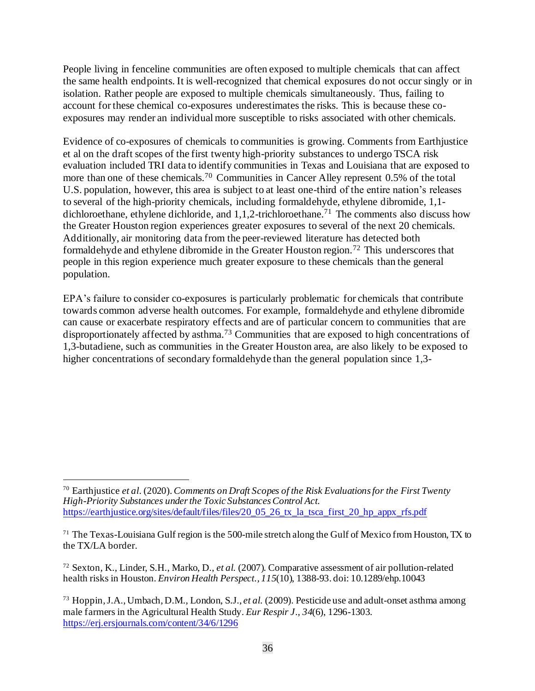People living in fenceline communities are often exposed to multiple chemicals that can affect the same health endpoints. It is well-recognized that chemical exposures do not occur singly or in isolation. Rather people are exposed to multiple chemicals simultaneously. Thus, failing to account for these chemical co-exposures underestimates the risks. This is because these coexposures may render an individual more susceptible to risks associated with other chemicals.

Evidence of co-exposures of chemicals to communities is growing. Comments from Earthjustice et al on the draft scopes of the first twenty high-priority substances to undergo TSCA risk evaluation included TRI data to identify communities in Texas and Louisiana that are exposed to more than one of these chemicals.<sup>70</sup> Communities in Cancer Alley represent 0.5% of the total U.S. population, however, this area is subject to at least one-third of the entire nation's releases to several of the high-priority chemicals, including formaldehyde, ethylene dibromide, 1,1 dichloroethane, ethylene dichloride, and  $1,1,2$ -trichloroethane.<sup>71</sup> The comments also discuss how the Greater Houston region experiences greater exposures to several of the next 20 chemicals. Additionally, air monitoring data from the peer-reviewed literature has detected both formaldehyde and ethylene dibromide in the Greater Houston region.<sup>72</sup> This underscores that people in this region experience much greater exposure to these chemicals than the general population.

EPA's failure to consider co-exposures is particularly problematic for chemicals that contribute towards common adverse health outcomes. For example, formaldehyde and ethylene dibromide can cause or exacerbate respiratory effects and are of particular concern to communities that are disproportionately affected by asthma.<sup>73</sup> Communities that are exposed to high concentrations of 1,3-butadiene, such as communities in the Greater Houston area, are also likely to be exposed to higher concentrations of secondary formaldehyde than the general population since 1,3-

<sup>70</sup> Earthjustice *et al*. (2020). *Comments on Draft Scopes of the Risk Evaluations for the First Twenty High-Priority Substances under the Toxic Substances Control Act.* https://earthjustice.org/sites/default/files/files/20\_05\_26\_tx\_la\_tsca\_first\_20\_hp\_appx\_rfs.pdf

 $71$  The Texas-Louisiana Gulf region is the 500-mile stretch along the Gulf of Mexico from Houston, TX to the TX/LA border.

<sup>72</sup> Sexton, K., Linder, S.H., Marko, D., *et al.* (2007). Comparative assessment of air pollution-related health risks in Houston. *Environ Health Perspect., 115*(10), 1388-93. doi: 10.1289/ehp.10043

<sup>73</sup> Hoppin,J.A., Umbach, D.M., London, S.J., *et al.* (2009). Pesticide use and adult-onset asthma among male farmers in the Agricultural Health Study. *Eur Respir J*.*, 34*(6), 1296-1303. https://erj.ersjournals.com/content/34/6/1296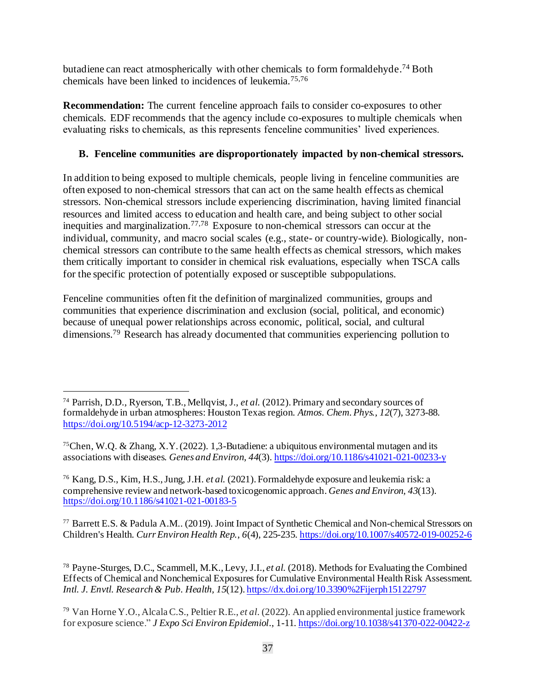butadiene can react atmospherically with other chemicals to form formaldehyde.<sup>74</sup> Both chemicals have been linked to incidences of leukemia.75,76

**Recommendation:** The current fenceline approach fails to consider co-exposures to other chemicals. EDF recommends that the agency include co-exposures to multiple chemicals when evaluating risks to chemicals, as this represents fenceline communities' lived experiences.

## **B. Fenceline communities are disproportionately impacted by non-chemical stressors.**

In addition to being exposed to multiple chemicals, people living in fenceline communities are often exposed to non-chemical stressors that can act on the same health effects as chemical stressors. Non-chemical stressors include experiencing discrimination, having limited financial resources and limited access to education and health care, and being subject to other social inequities and marginalization.<sup>77,78</sup> Exposure to non-chemical stressors can occur at the individual, community, and macro social scales (e.g., state- or country-wide). Biologically, nonchemical stressors can contribute to the same health effects as chemical stressors, which makes them critically important to consider in chemical risk evaluations, especially when TSCA calls for the specific protection of potentially exposed or susceptible subpopulations.

Fenceline communities often fit the definition of marginalized communities, groups and communities that experience discrimination and exclusion (social, political, and economic) because of unequal power relationships across economic, political, social, and cultural dimensions.<sup>79</sup> Research has already documented that communities experiencing pollution to

<sup>76</sup> Kang, D.S., Kim, H.S., Jung, J.H. *et al.* (2021). Formaldehyde exposure and leukemia risk: a comprehensive review and network-based toxicogenomic approach. *Genes and Environ, 43*(13). https://doi.org/10.1186/s41021-021-00183-5

<sup>77</sup> Barrett E.S. & Padula A.M.. (2019). Joint Impact of Synthetic Chemical and Non-chemical Stressors on Children's Health. *Curr Environ Health Rep.*, *6*(4), 225-235. https://doi.org/10.1007/s40572-019-00252-6

<sup>78</sup> Payne-Sturges, D.C., Scammell, M.K., Levy, J.I., *et al.* (2018). Methods for Evaluating the Combined Effects of Chemical and Nonchemical Exposures for Cumulative Environmental Health Risk Assessment. *Intl. J. Envtl. Research & Pub. Health, 15*(12). https://dx.doi.org/10.3390%2Fijerph15122797

<sup>79</sup> Van Horne Y.O., Alcala C.S., Peltier R.E., *et al*. (2022). An applied environmental justice framework for exposure science." *J Expo Sci Environ Epidemiol*., 1-11. https://doi.org/10.1038/s41370-022-00422-z

<sup>74</sup> Parrish, D.D., Ryerson, T.B., Mellqvist, J., *et al.* (2012). Primary and secondary sources of formaldehyde in urban atmospheres: Houston Texas region. *Atmos. Chem. Phys., 12*(7), 3273-88. https://doi.org/10.5194/acp-12-3273-2012

<sup>75</sup>Chen, W.Q. & Zhang, X.Y. (2022). 1,3-Butadiene: a ubiquitous environmental mutagen and its associations with diseases. *Genes and Environ, 44*(3). https://doi.org/10.1186/s41021-021-00233-y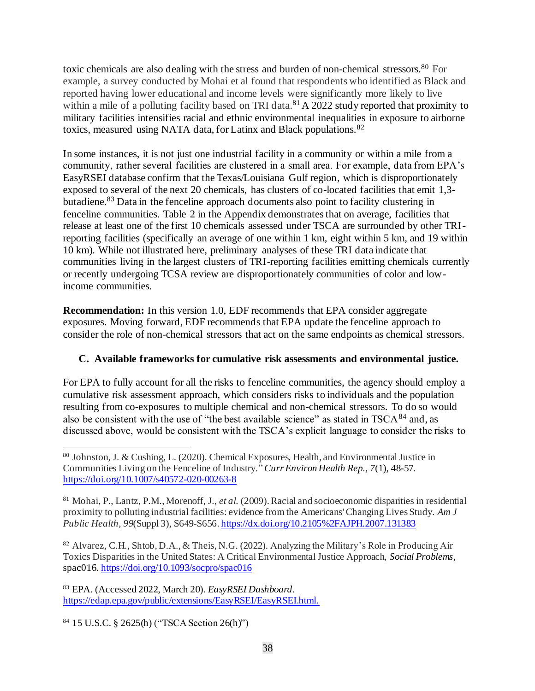toxic chemicals are also dealing with the stress and burden of non-chemical stressors.<sup>80</sup> For example, a survey conducted by Mohai et al found that respondents who identified as Black and reported having lower educational and income levels were significantly more likely to live within a mile of a polluting facility based on TRI data.<sup>81</sup> A 2022 study reported that proximity to military facilities intensifies racial and ethnic environmental inequalities in exposure to airborne toxics, measured using NATA data, for Latinx and Black populations.<sup>82</sup>

In some instances, it is not just one industrial facility in a community or within a mile from a community, rather several facilities are clustered in a small area. For example, data from EPA's EasyRSEI database confirm that the Texas/Louisiana Gulf region, which is disproportionately exposed to several of the next 20 chemicals, has clusters of co-located facilities that emit 1,3 butadiene.<sup>83</sup> Data in the fenceline approach documents also point to facility clustering in fenceline communities. Table 2 in the Appendix demonstrates that on average, facilities that release at least one of the first 10 chemicals assessed under TSCA are surrounded by other TRIreporting facilities (specifically an average of one within 1 km, eight within 5 km, and 19 within 10 km). While not illustrated here, preliminary analyses of these TRI data indicate that communities living in the largest clusters of TRI-reporting facilities emitting chemicals currently or recently undergoing TCSA review are disproportionately communities of color and lowincome communities.

**Recommendation:** In this version 1.0, EDF recommends that EPA consider aggregate exposures. Moving forward, EDF recommends that EPA update the fenceline approach to consider the role of non-chemical stressors that act on the same endpoints as chemical stressors.

### **C. Available frameworks for cumulative risk assessments and environmental justice.**

For EPA to fully account for all the risks to fenceline communities, the agency should employ a cumulative risk assessment approach, which considers risks to individuals and the population resulting from co-exposures to multiple chemical and non-chemical stressors. To do so would also be consistent with the use of "the best available science" as stated in  $TSCA<sup>84</sup>$  and, as discussed above, would be consistent with the TSCA's explicit language to consider the risks to

<sup>82</sup> Alvarez, C.H., Shtob, D.A.,& Theis, N.G. (2022). Analyzing the Military's Role in Producing Air Toxics Disparities in the United States: A Critical Environmental Justice Approach, *Social Problems*, spac016. https://doi.org/10.1093/socpro/spac016

<sup>83</sup> EPA. (Accessed 2022, March 20). *EasyRSEI Dashboard.* https://edap.epa.gov/public/extensions/EasyRSEI/EasyRSEI.html.

<sup>84</sup> 15 U.S.C. § 2625(h) ("TSCA Section 26(h)")

<sup>80</sup> Johnston, J. & Cushing, L. (2020). Chemical Exposures, Health, and Environmental Justice in Communities Living on the Fenceline of Industry."*Curr Environ Health Rep*., *7*(1), 48-57. https://doi.org/10.1007/s40572-020-00263-8

<sup>81</sup> Mohai, P., Lantz, P.M., Morenoff, J., *et al.* (2009).Racial and socioeconomic disparities in residential proximity to polluting industrial facilities: evidence from the Americans' Changing Lives Study. *Am J Public Health*, *99*(Suppl 3), S649-S656. https://dx.doi.org/10.2105%2FAJPH.2007.131383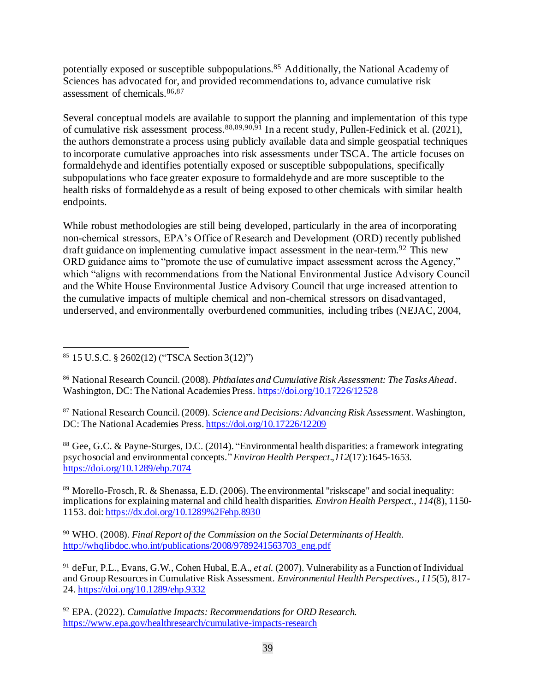potentially exposed or susceptible subpopulations.<sup>85</sup> Additionally, the National Academy of Sciences has advocated for, and provided recommendations to, advance cumulative risk assessment of chemicals.86,87

Several conceptual models are available to support the planning and implementation of this type of cumulative risk assessment process.88,89,90,91 In a recent study, Pullen-Fedinick et al. (2021), the authors demonstrate a process using publicly available data and simple geospatial techniques to incorporate cumulative approaches into risk assessments under TSCA. The article focuses on formaldehyde and identifies potentially exposed or susceptible subpopulations, specifically subpopulations who face greater exposure to formaldehyde and are more susceptible to the health risks of formaldehyde as a result of being exposed to other chemicals with similar health endpoints.

While robust methodologies are still being developed, particularly in the area of incorporating non-chemical stressors, EPA's Office of Research and Development (ORD) recently published draft guidance on implementing cumulative impact assessment in the near-term.<sup>92</sup> This new ORD guidance aims to "promote the use of cumulative impact assessment across the Agency," which "aligns with recommendations from the National Environmental Justice Advisory Council and the White House Environmental Justice Advisory Council that urge increased attention to the cumulative impacts of multiple chemical and non-chemical stressors on disadvantaged, underserved, and environmentally overburdened communities, including tribes (NEJAC, 2004,

88 Gee, G.C. & Payne-Sturges, D.C. (2014). "Environmental health disparities: a framework integrating psychosocial and environmental concepts." *Environ Health Perspect*.,*112*(17):1645-1653. https://doi.org/10.1289/ehp.7074

 $89$  Morello-Frosch, R. & Shenassa, E.D. (2006). The environmental "riskscape" and social inequality: implications for explaining maternal and child health disparities. *Environ Health Perspect*., *114*(8), 1150- 1153. doi: https://dx.doi.org/10.1289%2Fehp.8930

<sup>90</sup> WHO. (2008). *Final Report of the Commission on the Social Determinants of Health.* http://whqlibdoc.who.int/publications/2008/9789241563703\_eng.pdf

<sup>91</sup> deFur, P.L., Evans, G.W., Cohen Hubal, E.A., *et al.* (2007). Vulnerability as a Function of Individual and Group Resources in Cumulative Risk Assessment. *Environmental Health Perspectives*., *115*(5), 817- 24. https://doi.org/10.1289/ehp.9332

<sup>92</sup> EPA. (2022). *Cumulative Impacts: Recommendations for ORD Research.*  https://www.epa.gov/healthresearch/cumulative-impacts-research

<sup>85</sup> 15 U.S.C. § 2602(12) ("TSCA Section 3(12)")

<sup>86</sup> National Research Council. (2008). *Phthalates and Cumulative Risk Assessment: The Tasks Ahead*. Washington, DC: The National Academies Press. https://doi.org/10.17226/12528

<sup>87</sup> National Research Council. (2009). *Science and Decisions: Advancing Risk Assessment*. Washington, DC: The National Academies Press. https://doi.org/10.17226/12209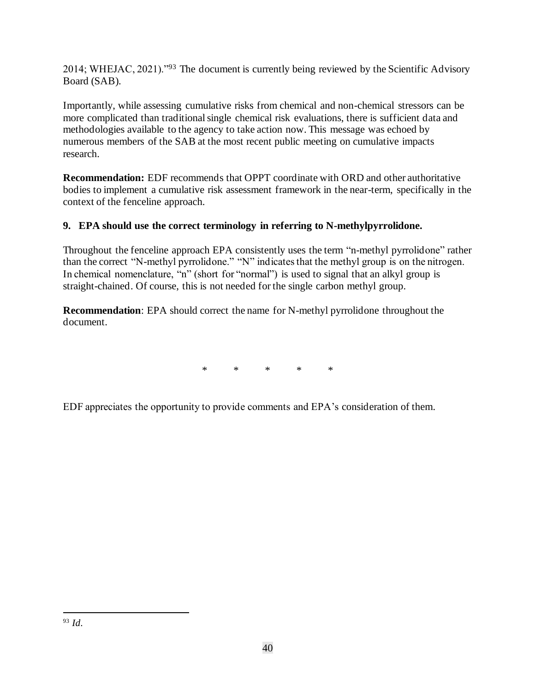2014; WHEJAC, 2021)."<sup>93</sup> The document is currently being reviewed by the Scientific Advisory Board (SAB).

Importantly, while assessing cumulative risks from chemical and non-chemical stressors can be more complicated than traditional single chemical risk evaluations, there is sufficient data and methodologies available to the agency to take action now. This message was echoed by numerous members of the SAB at the most recent public meeting on cumulative impacts research.

**Recommendation:** EDF recommends that OPPT coordinate with ORD and other authoritative bodies to implement a cumulative risk assessment framework in the near-term, specifically in the context of the fenceline approach.

# **9. EPA should use the correct terminology in referring to N-methylpyrrolidone.**

Throughout the fenceline approach EPA consistently uses the term "n-methyl pyrrolidone" rather than the correct "N-methyl pyrrolidone." "N" indicates that the methyl group is on the nitrogen. In chemical nomenclature, "n" (short for "normal") is used to signal that an alkyl group is straight-chained. Of course, this is not needed for the single carbon methyl group.

**Recommendation**: EPA should correct the name for N-methyl pyrrolidone throughout the document.

\* \* \* \* \*

EDF appreciates the opportunity to provide comments and EPA's consideration of them.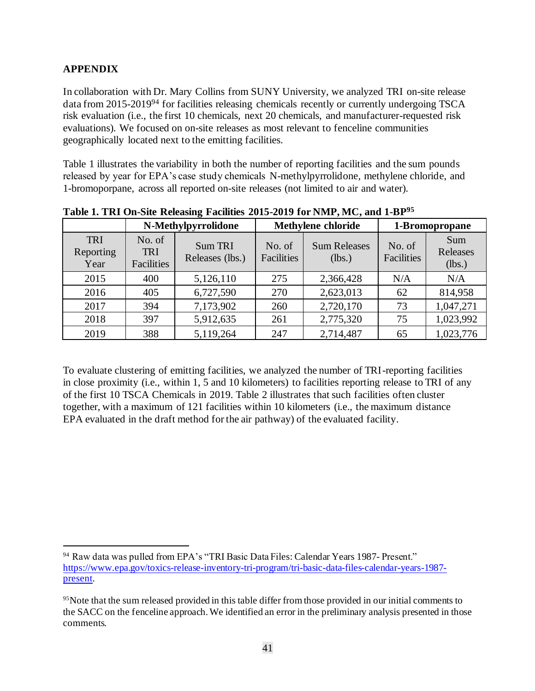## **APPENDIX**

In collaboration with Dr. Mary Collins from SUNY University, we analyzed TRI on-site release data from 2015-2019<sup>94</sup> for facilities releasing chemicals recently or currently undergoing TSCA risk evaluation (i.e., the first 10 chemicals, next 20 chemicals, and manufacturer-requested risk evaluations). We focused on on-site releases as most relevant to fenceline communities geographically located next to the emitting facilities.

Table 1 illustrates the variability in both the number of reporting facilities and the sum pounds released by year for EPA's case study chemicals N-methylpyrrolidone, methylene chloride, and 1-bromoporpane, across all reported on-site releases (not limited to air and water).

|                                 | N-Methylpyrrolidone                |                            |                      | Methylene chloride            | 1-Bromopropane       |                           |
|---------------------------------|------------------------------------|----------------------------|----------------------|-------------------------------|----------------------|---------------------------|
| <b>TRI</b><br>Reporting<br>Year | No. of<br><b>TRI</b><br>Facilities | Sum TRI<br>Releases (lbs.) | No. of<br>Facilities | <b>Sum Releases</b><br>(lbs.) | No. of<br>Facilities | Sum<br>Releases<br>(lbs.) |
| 2015                            | 400                                | 5,126,110                  | 275                  | 2,366,428                     | N/A                  | N/A                       |
| 2016                            | 405                                | 6,727,590                  | 270                  | 2,623,013                     | 62                   | 814,958                   |
| 2017                            | 394                                | 7,173,902                  | 260                  | 2,720,170                     | 73                   | 1,047,271                 |
| 2018                            | 397                                | 5,912,635                  | 261                  | 2,775,320                     | 75                   | 1,023,992                 |
| 2019                            | 388                                | 5,119,264                  | 247                  | 2,714,487                     | 65                   | 1,023,776                 |

**Table 1. TRI On-Site Releasing Facilities 2015-2019 for NMP, MC, and 1-BP<sup>95</sup>**

To evaluate clustering of emitting facilities, we analyzed the number of TRI-reporting facilities in close proximity (i.e., within 1, 5 and 10 kilometers) to facilities reporting release to TRI of any of the first 10 TSCA Chemicals in 2019. Table 2 illustrates that such facilities often cluster together, with a maximum of 121 facilities within 10 kilometers (i.e., the maximum distance EPA evaluated in the draft method for the air pathway) of the evaluated facility.

<sup>94</sup> Raw data was pulled from EPA's "TRI Basic Data Files: Calendar Years 1987- Present." https://www.epa.gov/toxics-release-inventory-tri-program/tri-basic-data-files-calendar-years-1987 present.

<sup>&</sup>lt;sup>95</sup>Note that the sum released provided in this table differ from those provided in our initial comments to the SACC on the fenceline approach. We identified an error in the preliminary analysis presented in those comments.